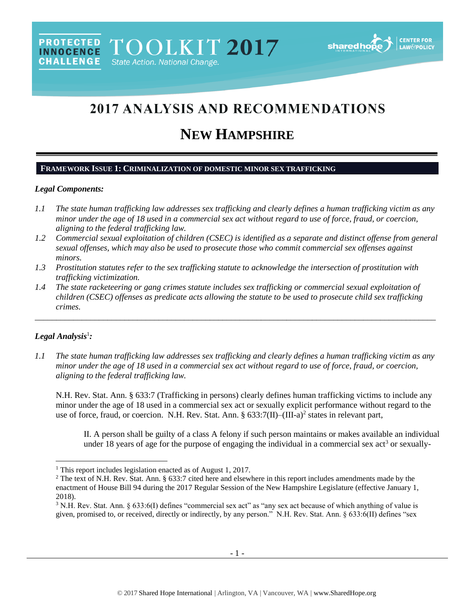# 2017 ANALYSIS AND RECOMMENDATIONS

# **NEW HAMPSHIRE**

# **FRAMEWORK ISSUE 1: CRIMINALIZATION OF DOMESTIC MINOR SEX TRAFFICKING**

## *Legal Components:*

- *1.1 The state human trafficking law addresses sex trafficking and clearly defines a human trafficking victim as any minor under the age of 18 used in a commercial sex act without regard to use of force, fraud, or coercion, aligning to the federal trafficking law.*
- *1.2 Commercial sexual exploitation of children (CSEC) is identified as a separate and distinct offense from general sexual offenses, which may also be used to prosecute those who commit commercial sex offenses against minors.*
- *1.3 Prostitution statutes refer to the sex trafficking statute to acknowledge the intersection of prostitution with trafficking victimization.*
- *1.4 The state racketeering or gang crimes statute includes sex trafficking or commercial sexual exploitation of children (CSEC) offenses as predicate acts allowing the statute to be used to prosecute child sex trafficking crimes.*

\_\_\_\_\_\_\_\_\_\_\_\_\_\_\_\_\_\_\_\_\_\_\_\_\_\_\_\_\_\_\_\_\_\_\_\_\_\_\_\_\_\_\_\_\_\_\_\_\_\_\_\_\_\_\_\_\_\_\_\_\_\_\_\_\_\_\_\_\_\_\_\_\_\_\_\_\_\_\_\_\_\_\_\_\_\_\_\_\_\_\_\_\_\_

# *Legal Analysis*<sup>1</sup> *:*

 $\overline{a}$ 

*1.1 The state human trafficking law addresses sex trafficking and clearly defines a human trafficking victim as any minor under the age of 18 used in a commercial sex act without regard to use of force, fraud, or coercion, aligning to the federal trafficking law.*

N.H. Rev. Stat. Ann. § 633:7 (Trafficking in persons) clearly defines human trafficking victims to include any minor under the age of 18 used in a commercial sex act or sexually explicit performance without regard to the use of force, fraud, or coercion. N.H. Rev. Stat. Ann. § 633:7(II)–(III-a)<sup>2</sup> states in relevant part,

<span id="page-0-1"></span><span id="page-0-0"></span>II. A person shall be guilty of a class A felony if such person maintains or makes available an individual under 18 years of age for the purpose of engaging the individual in a commercial sex  $\text{act}^3$  or sexually-

<sup>&</sup>lt;sup>1</sup> This report includes legislation enacted as of August 1, 2017.

<sup>&</sup>lt;sup>2</sup> The text of N.H. Rev. Stat. Ann. § 633:7 cited here and elsewhere in this report includes amendments made by the enactment of House Bill 94 during the 2017 Regular Session of the New Hampshire Legislature (effective January 1, 2018).

<sup>&</sup>lt;sup>3</sup> N.H. Rev. Stat. Ann. § 633:6(I) defines "commercial sex act" as "any sex act because of which anything of value is given, promised to, or received, directly or indirectly, by any person." N.H. Rev. Stat. Ann. § 633:6(II) defines "sex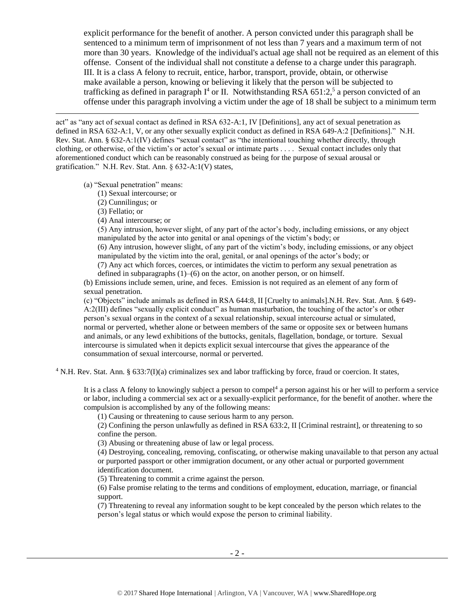<span id="page-1-0"></span>explicit performance for the benefit of another. A person convicted under this paragraph shall be sentenced to a minimum term of imprisonment of not less than 7 years and a maximum term of not more than 30 years. Knowledge of the individual's actual age shall not be required as an element of this offense. Consent of the individual shall not constitute a defense to a charge under this paragraph. III. It is a class A felony to recruit, entice, harbor, transport, provide, obtain, or otherwise make available a person, knowing or believing it likely that the person will be subjected to trafficking as defined in paragraph  $I^4$  or II. Notwithstanding RSA 651:2,<sup>5</sup> a person convicted of an offense under this paragraph involving a victim under the age of 18 shall be subject to a minimum term

act" as "any act of sexual contact as defined in RSA 632-A:1, IV [Definitions], any act of sexual penetration as defined in RSA 632-A:1, V, or any other sexually explicit conduct as defined in RSA 649-A:2 [Definitions]." N.H. Rev. Stat. Ann. § 632-A:1(IV) defines "sexual contact" as "the intentional touching whether directly, through clothing, or otherwise, of the victim's or actor's sexual or intimate parts . . . . Sexual contact includes only that aforementioned conduct which can be reasonably construed as being for the purpose of sexual arousal or gratification." N.H. Rev. Stat. Ann. § 632-A:1(V) states,

(a) "Sexual penetration" means:

(1) Sexual intercourse; or

(2) Cunnilingus; or

(3) Fellatio; or

 $\overline{a}$ 

(4) Anal intercourse; or

(5) Any intrusion, however slight, of any part of the actor's body, including emissions, or any object manipulated by the actor into genital or anal openings of the victim's body; or

(6) Any intrusion, however slight, of any part of the victim's body, including emissions, or any object manipulated by the victim into the oral, genital, or anal openings of the actor's body; or

(7) Any act which forces, coerces, or intimidates the victim to perform any sexual penetration as defined in subparagraphs  $(1)$ – $(6)$  on the actor, on another person, or on himself.

(b) Emissions include semen, urine, and feces. Emission is not required as an element of any form of sexual penetration.

(c) "Objects" include animals as defined in RSA 644:8, II [Cruelty to animals].N.H. Rev. Stat. Ann. § 649- A:2(III) defines "sexually explicit conduct" as human masturbation, the touching of the actor's or other person's sexual organs in the context of a sexual relationship, sexual intercourse actual or simulated, normal or perverted, whether alone or between members of the same or opposite sex or between humans and animals, or any lewd exhibitions of the buttocks, genitals, flagellation, bondage, or torture. Sexual intercourse is simulated when it depicts explicit sexual intercourse that gives the appearance of the consummation of sexual intercourse, normal or perverted.

 $4$  N.H. Rev. Stat. Ann. § 633:7(I)(a) criminalizes sex and labor trafficking by force, fraud or coercion. It states,

It is a class A felony to knowingly subject a person to compel<sup>4</sup> a person against his or her will to perform a service or labor, including a commercial sex act or a sexually-explicit performance, for the benefit of another. where the compulsion is accomplished by any of the following means:

(1) Causing or threatening to cause serious harm to any person.

(2) Confining the person unlawfully as defined in RSA 633:2, II [Criminal restraint], or threatening to so confine the person.

(3) Abusing or threatening abuse of law or legal process.

(4) Destroying, concealing, removing, confiscating, or otherwise making unavailable to that person any actual or purported passport or other immigration document, or any other actual or purported government identification document.

(5) Threatening to commit a crime against the person.

(6) False promise relating to the terms and conditions of employment, education, marriage, or financial support.

(7) Threatening to reveal any information sought to be kept concealed by the person which relates to the person's legal status or which would expose the person to criminal liability.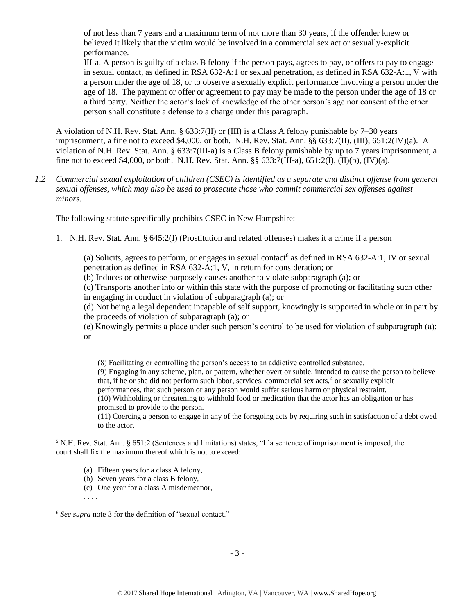of not less than 7 years and a maximum term of not more than 30 years, if the offender knew or believed it likely that the victim would be involved in a commercial sex act or sexually-explicit performance.

III-a. A person is guilty of a class B felony if the person pays, agrees to pay, or offers to pay to engage in sexual contact, as defined in RSA 632-A:1 or sexual penetration, as defined in RSA 632-A:1, V with a person under the age of 18, or to observe a sexually explicit performance involving a person under the age of 18. The payment or offer or agreement to pay may be made to the person under the age of 18 or a third party. Neither the actor's lack of knowledge of the other person's age nor consent of the other person shall constitute a defense to a charge under this paragraph.

A violation of N.H. Rev. Stat. Ann. § 633:7(II) or (III) is a Class A felony punishable by 7–30 years imprisonment, a fine not to exceed \$4,000, or both. N.H. Rev. Stat. Ann. §§ 633:7(II), (III), 651:2(IV)(a). A violation of N.H. Rev. Stat. Ann. § 633:7(III-a) is a Class B felony punishable by up to 7 years imprisonment, a fine not to exceed \$4,000, or both. N.H. Rev. Stat. Ann. §§ 633:7(III-a), 651:2(I), (II)(b), (IV)(a).

*1.2 Commercial sexual exploitation of children (CSEC) is identified as a separate and distinct offense from general sexual offenses, which may also be used to prosecute those who commit commercial sex offenses against minors.*

The following statute specifically prohibits CSEC in New Hampshire:

1. N.H. Rev. Stat. Ann. § 645:2(I) (Prostitution and related offenses) makes it a crime if a person

(a) Solicits, agrees to perform, or engages in sexual contact<sup>6</sup> as defined in RSA 632-A:1, IV or sexual penetration as defined in RSA 632-A:1, V, in return for consideration; or

(b) Induces or otherwise purposely causes another to violate subparagraph (a); or

(c) Transports another into or within this state with the purpose of promoting or facilitating such other in engaging in conduct in violation of subparagraph (a); or

(d) Not being a legal dependent incapable of self support, knowingly is supported in whole or in part by the proceeds of violation of subparagraph (a); or

(e) Knowingly permits a place under such person's control to be used for violation of subparagraph (a); or

(8) Facilitating or controlling the person's access to an addictive controlled substance.

(9) Engaging in any scheme, plan, or pattern, whether overt or subtle, intended to cause the person to believe that, if he or she did not perform such labor, services, commercial sex acts,<sup>4</sup> or sexually explicit

performances, that such person or any person would suffer serious harm or physical restraint.

(10) Withholding or threatening to withhold food or medication that the actor has an obligation or has promised to provide to the person.

(11) Coercing a person to engage in any of the foregoing acts by requiring such in satisfaction of a debt owed to the actor.

<sup>5</sup> N.H. Rev. Stat. Ann. § 651:2 (Sentences and limitations) states, "If a sentence of imprisonment is imposed, the court shall fix the maximum thereof which is not to exceed:

- (a) Fifteen years for a class A felony,
- (b) Seven years for a class B felony,
- (c) One year for a class A misdemeanor,

 $\overline{\phantom{a}}$ 

<sup>6</sup> *See supra* note [3](#page-0-0) for the definition of "sexual contact."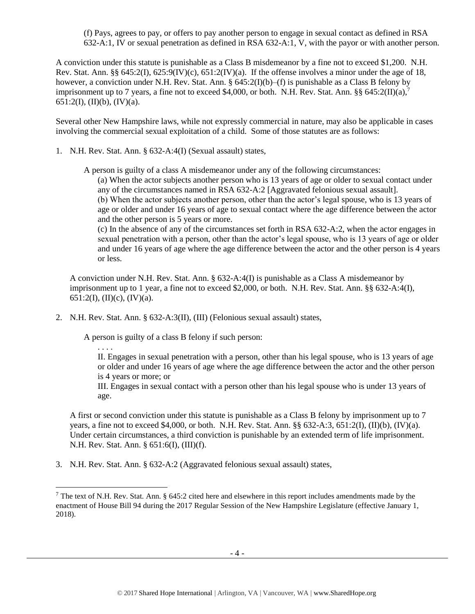(f) Pays, agrees to pay, or offers to pay another person to engage in sexual contact as defined in RSA 632-A:1, IV or sexual penetration as defined in RSA 632-A:1, V, with the payor or with another person.

A conviction under this statute is punishable as a Class B misdemeanor by a fine not to exceed \$1,200. N.H. Rev. Stat. Ann. §§ 645:2(I), 625:9(IV)(c), 651:2(IV)(a). If the offense involves a minor under the age of 18, however, a conviction under N.H. Rev. Stat. Ann. § 645:2(I)(b)–(f) is punishable as a Class B felony by imprisonment up to 7 years, a fine not to exceed \$4,000, or both. N.H. Rev. Stat. Ann. §§ 645:2(II)(a),<sup>7</sup> 651:2(I), (II)(b), (IV)(a).

Several other New Hampshire laws, while not expressly commercial in nature, may also be applicable in cases involving the commercial sexual exploitation of a child. Some of those statutes are as follows:

1. N.H. Rev. Stat. Ann. § 632-A:4(I) (Sexual assault) states,

A person is guilty of a class A misdemeanor under any of the following circumstances:

<span id="page-3-0"></span>(a) When the actor subjects another person who is 13 years of age or older to sexual contact under any of the circumstances named in RSA 632-A:2 [Aggravated felonious sexual assault].

(b) When the actor subjects another person, other than the actor's legal spouse, who is 13 years of age or older and under 16 years of age to sexual contact where the age difference between the actor and the other person is 5 years or more.

(c) In the absence of any of the circumstances set forth in RSA 632-A:2, when the actor engages in sexual penetration with a person, other than the actor's legal spouse, who is 13 years of age or older and under 16 years of age where the age difference between the actor and the other person is 4 years or less.

A conviction under N.H. Rev. Stat. Ann. § 632-A:4(I) is punishable as a Class A misdemeanor by imprisonment up to 1 year, a fine not to exceed \$2,000, or both. N.H. Rev. Stat. Ann. §§ 632-A:4(I), 651:2(I), (II)(c), (IV)(a).

2. N.H. Rev. Stat. Ann. § 632-A:3(II), (III) (Felonious sexual assault) states,

A person is guilty of a class B felony if such person:

. . . .

 $\overline{\phantom{a}}$ 

II. Engages in sexual penetration with a person, other than his legal spouse, who is 13 years of age or older and under 16 years of age where the age difference between the actor and the other person is 4 years or more; or

III. Engages in sexual contact with a person other than his legal spouse who is under 13 years of age.

A first or second conviction under this statute is punishable as a Class B felony by imprisonment up to 7 years, a fine not to exceed \$4,000, or both. N.H. Rev. Stat. Ann.  $\S$ § 632-A:3, 651:2(I), (II)(b), (IV)(a). Under certain circumstances, a third conviction is punishable by an extended term of life imprisonment. N.H. Rev. Stat. Ann. § 651:6(I), (III)(f).

3. N.H. Rev. Stat. Ann. § 632-A:2 (Aggravated felonious sexual assault) states,

<sup>&</sup>lt;sup>7</sup> The text of N.H. Rev. Stat. Ann. § 645:2 cited here and elsewhere in this report includes amendments made by the enactment of House Bill 94 during the 2017 Regular Session of the New Hampshire Legislature (effective January 1, 2018).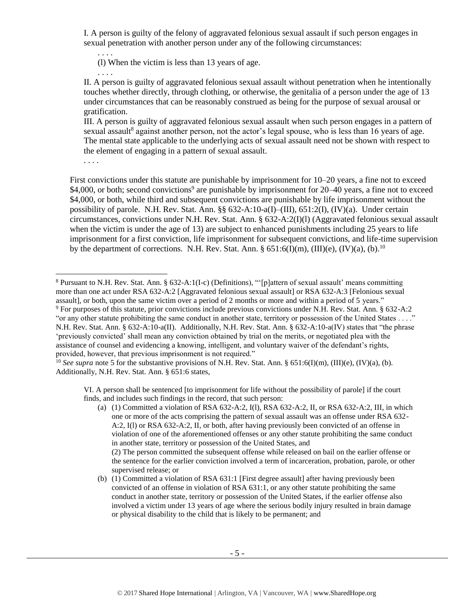I. A person is guilty of the felony of aggravated felonious sexual assault if such person engages in sexual penetration with another person under any of the following circumstances:

(l) When the victim is less than 13 years of age.

II. A person is guilty of aggravated felonious sexual assault without penetration when he intentionally touches whether directly, through clothing, or otherwise, the genitalia of a person under the age of 13 under circumstances that can be reasonably construed as being for the purpose of sexual arousal or gratification.

III. A person is guilty of aggravated felonious sexual assault when such person engages in a pattern of sexual assault<sup>8</sup> against another person, not the actor's legal spouse, who is less than 16 years of age. The mental state applicable to the underlying acts of sexual assault need not be shown with respect to the element of engaging in a pattern of sexual assault.

. . . .

. . . .

. . . .

First convictions under this statute are punishable by imprisonment for 10–20 years, a fine not to exceed \$4,000, or both; second convictions<sup>9</sup> are punishable by imprisonment for 20–40 years, a fine not to exceed \$4,000, or both, while third and subsequent convictions are punishable by life imprisonment without the possibility of parole. N.H. Rev. Stat. Ann. §§ 632-A:10-a(I)–(III), 651:2(I), (IV)(a). Under certain circumstances, convictions under N.H. Rev. Stat. Ann. § 632-A:2(I)(l) (Aggravated felonious sexual assault when the victim is under the age of 13) are subject to enhanced punishments including 25 years to life imprisonment for a first conviction, life imprisonment for subsequent convictions, and life-time supervision by the department of corrections. N.H. Rev. Stat. Ann. §  $651:6(I)(m)$ ,  $(III)(e)$ ,  $(IV)(a)$ ,  $(b)$ .<sup>10</sup>

VI. A person shall be sentenced [to imprisonment for life without the possibility of parole] if the court finds, and includes such findings in the record, that such person:

(2) The person committed the subsequent offense while released on bail on the earlier offense or the sentence for the earlier conviction involved a term of incarceration, probation, parole, or other supervised release; or

(b) (1) Committed a violation of RSA 631:1 [First degree assault] after having previously been convicted of an offense in violation of RSA 631:1, or any other statute prohibiting the same conduct in another state, territory or possession of the United States, if the earlier offense also involved a victim under 13 years of age where the serious bodily injury resulted in brain damage or physical disability to the child that is likely to be permanent; and

 $\overline{\phantom{a}}$ <sup>8</sup> Pursuant to N.H. Rev. Stat. Ann. § 632-A:1(I-c) (Definitions), "'[p]attern of sexual assault' means committing more than one act under RSA 632-A:2 [Aggravated felonious sexual assault] or RSA 632-A:3 [Felonious sexual assault], or both, upon the same victim over a period of 2 months or more and within a period of 5 years." <sup>9</sup> For purposes of this statute, prior convictions include previous convictions under N.H. Rev. Stat. Ann. § 632-A:2

<sup>&</sup>quot;or any other statute prohibiting the same conduct in another state, territory or possession of the United States . . . ." N.H. Rev. Stat. Ann. § 632-A:10-a(II). Additionally, N.H. Rev. Stat. Ann. § 632-A:10-a(IV) states that "the phrase 'previously convicted' shall mean any conviction obtained by trial on the merits, or negotiated plea with the assistance of counsel and evidencing a knowing, intelligent, and voluntary waiver of the defendant's rights, provided, however, that previous imprisonment is not required."

<sup>&</sup>lt;sup>10</sup> *See supra* note [5](#page-1-0) for the substantive provisions of N.H. Rev. Stat. Ann. § 651:6(I)(m), (III)(e), (IV)(a), (b). Additionally, N.H. Rev. Stat. Ann. § 651:6 states,

<sup>(</sup>a) (1) Committed a violation of RSA  $632-A:2$ , I(1), RSA  $632-A:2$ , II, or RSA  $632-A:2$ , III, in which one or more of the acts comprising the pattern of sexual assault was an offense under RSA 632- A:2, I(l) or RSA 632-A:2, II, or both, after having previously been convicted of an offense in violation of one of the aforementioned offenses or any other statute prohibiting the same conduct in another state, territory or possession of the United States, and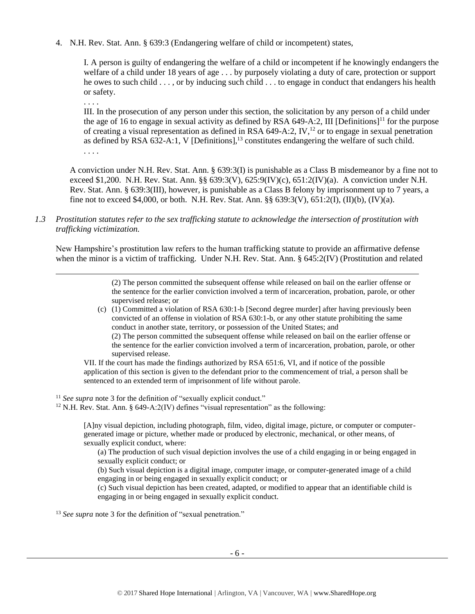4. N.H. Rev. Stat. Ann. § 639:3 (Endangering welfare of child or incompetent) states,

I. A person is guilty of endangering the welfare of a child or incompetent if he knowingly endangers the welfare of a child under 18 years of age . . . by purposely violating a duty of care, protection or support he owes to such child . . . , or by inducing such child . . . to engage in conduct that endangers his health or safety.

. . . .

. . . .

 $\overline{\phantom{a}}$ 

III. In the prosecution of any person under this section, the solicitation by any person of a child under the age of 16 to engage in sexual activity as defined by RSA 649-A:2, III [Definitions]<sup>11</sup> for the purpose of creating a visual representation as defined in RSA  $649-A:2$ , IV,<sup>12</sup> or to engage in sexual penetration as defined by RSA  $632-A:1$ , V [Definitions],<sup>13</sup> constitutes endangering the welfare of such child.

A conviction under N.H. Rev. Stat. Ann. § 639:3(I) is punishable as a Class B misdemeanor by a fine not to exceed \$1,200. N.H. Rev. Stat. Ann. §§ 639:3(V), 625:9(IV)(c), 651:2(IV)(a). A conviction under N.H. Rev. Stat. Ann. § 639:3(III), however, is punishable as a Class B felony by imprisonment up to 7 years, a fine not to exceed \$4,000, or both. N.H. Rev. Stat. Ann.  $\S$ § 639:3(V), 651:2(I), (II)(b), (IV)(a).

*1.3 Prostitution statutes refer to the sex trafficking statute to acknowledge the intersection of prostitution with trafficking victimization.* 

New Hampshire's prostitution law refers to the human trafficking statute to provide an affirmative defense when the minor is a victim of trafficking. Under N.H. Rev. Stat. Ann. § 645:2(IV) (Prostitution and related

> (2) The person committed the subsequent offense while released on bail on the earlier offense or the sentence for the earlier conviction involved a term of incarceration, probation, parole, or other supervised release; or

(c) (1) Committed a violation of RSA 630:1-b [Second degree murder] after having previously been convicted of an offense in violation of RSA 630:1-b, or any other statute prohibiting the same conduct in another state, territory, or possession of the United States; and

(2) The person committed the subsequent offense while released on bail on the earlier offense or the sentence for the earlier conviction involved a term of incarceration, probation, parole, or other supervised release.

VII. If the court has made the findings authorized by RSA 651:6, VI, and if notice of the possible application of this section is given to the defendant prior to the commencement of trial, a person shall be sentenced to an extended term of imprisonment of life without parole.

<sup>11</sup> *See supra* note [3](#page-0-0) for the definition of "sexually explicit conduct."

 $12$  N.H. Rev. Stat. Ann. § 649-A:2(IV) defines "visual representation" as the following:

[A]ny visual depiction, including photograph, film, video, digital image, picture, or computer or computergenerated image or picture, whether made or produced by electronic, mechanical, or other means, of sexually explicit conduct, where:

(a) The production of such visual depiction involves the use of a child engaging in or being engaged in sexually explicit conduct; or

(b) Such visual depiction is a digital image, computer image, or computer-generated image of a child engaging in or being engaged in sexually explicit conduct; or

(c) Such visual depiction has been created, adapted, or modified to appear that an identifiable child is engaging in or being engaged in sexually explicit conduct.

<sup>13</sup> *See supra* note [3](#page-0-0) for the definition of "sexual penetration."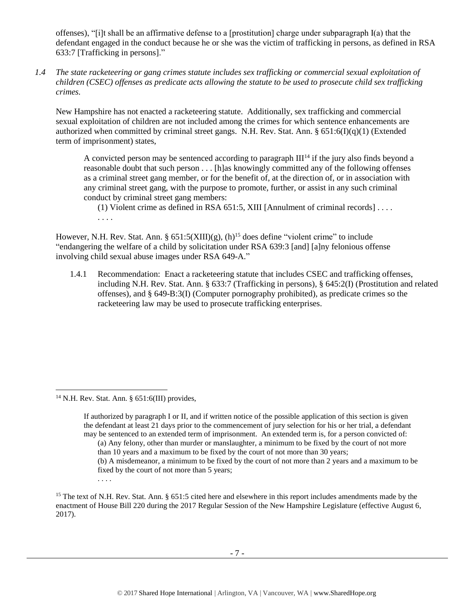offenses), "[i]t shall be an affirmative defense to a [prostitution] charge under subparagraph I(a) that the defendant engaged in the conduct because he or she was the victim of trafficking in persons, as defined in RSA 633:7 [Trafficking in persons]."

*1.4 The state racketeering or gang crimes statute includes sex trafficking or commercial sexual exploitation of children (CSEC) offenses as predicate acts allowing the statute to be used to prosecute child sex trafficking crimes.* 

New Hampshire has not enacted a racketeering statute. Additionally, sex trafficking and commercial sexual exploitation of children are not included among the crimes for which sentence enhancements are authorized when committed by criminal street gangs. N.H. Rev. Stat. Ann. §  $651:6(I)(q)(1)$  (Extended term of imprisonment) states,

A convicted person may be sentenced according to paragraph  $III<sup>14</sup>$  if the jury also finds beyond a reasonable doubt that such person . . . [h]as knowingly committed any of the following offenses as a criminal street gang member, or for the benefit of, at the direction of, or in association with any criminal street gang, with the purpose to promote, further, or assist in any such criminal conduct by criminal street gang members:

(1) Violent crime as defined in RSA 651:5, XIII [Annulment of criminal records] . . . . . . . .

However, N.H. Rev. Stat. Ann. §  $651:5(XIII)(g)$ , (h)<sup>15</sup> does define "violent crime" to include "endangering the welfare of a child by solicitation under RSA 639:3 [and] [a]ny felonious offense involving child sexual abuse images under RSA 649-A."

1.4.1 Recommendation: Enact a racketeering statute that includes CSEC and trafficking offenses, including N.H. Rev. Stat. Ann. § 633:7 (Trafficking in persons), § 645:2(I) (Prostitution and related offenses), and § 649-B:3(I) (Computer pornography prohibited), as predicate crimes so the racketeering law may be used to prosecute trafficking enterprises.

. . . .

l

<sup>&</sup>lt;sup>14</sup> N.H. Rev. Stat. Ann. §  $651:6(III)$  provides,

If authorized by paragraph I or II, and if written notice of the possible application of this section is given the defendant at least 21 days prior to the commencement of jury selection for his or her trial, a defendant may be sentenced to an extended term of imprisonment. An extended term is, for a person convicted of:

<sup>(</sup>a) Any felony, other than murder or manslaughter, a minimum to be fixed by the court of not more than 10 years and a maximum to be fixed by the court of not more than 30 years;

<sup>(</sup>b) A misdemeanor, a minimum to be fixed by the court of not more than 2 years and a maximum to be fixed by the court of not more than 5 years;

<sup>&</sup>lt;sup>15</sup> The text of N.H. Rev. Stat. Ann. § 651:5 cited here and elsewhere in this report includes amendments made by the enactment of House Bill 220 during the 2017 Regular Session of the New Hampshire Legislature (effective August 6, 2017).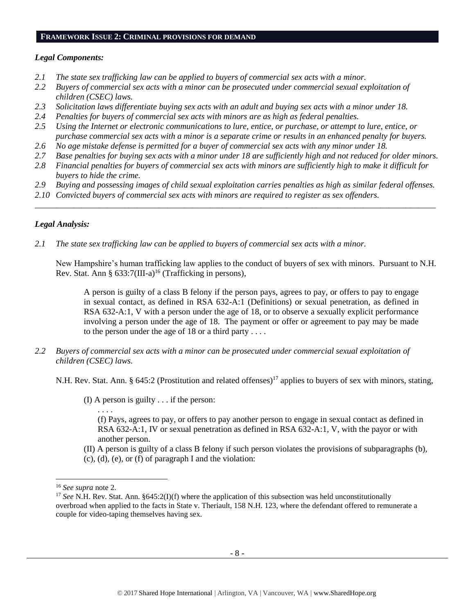#### **FRAMEWORK ISSUE 2: CRIMINAL PROVISIONS FOR DEMAND**

# *Legal Components:*

- *2.1 The state sex trafficking law can be applied to buyers of commercial sex acts with a minor.*
- *2.2 Buyers of commercial sex acts with a minor can be prosecuted under commercial sexual exploitation of children (CSEC) laws.*
- *2.3 Solicitation laws differentiate buying sex acts with an adult and buying sex acts with a minor under 18.*
- *2.4 Penalties for buyers of commercial sex acts with minors are as high as federal penalties.*
- *2.5 Using the Internet or electronic communications to lure, entice, or purchase, or attempt to lure, entice, or purchase commercial sex acts with a minor is a separate crime or results in an enhanced penalty for buyers.*
- *2.6 No age mistake defense is permitted for a buyer of commercial sex acts with any minor under 18.*
- *2.7 Base penalties for buying sex acts with a minor under 18 are sufficiently high and not reduced for older minors.*
- *2.8 Financial penalties for buyers of commercial sex acts with minors are sufficiently high to make it difficult for buyers to hide the crime.*
- *2.9 Buying and possessing images of child sexual exploitation carries penalties as high as similar federal offenses.*

\_\_\_\_\_\_\_\_\_\_\_\_\_\_\_\_\_\_\_\_\_\_\_\_\_\_\_\_\_\_\_\_\_\_\_\_\_\_\_\_\_\_\_\_\_\_\_\_\_\_\_\_\_\_\_\_\_\_\_\_\_\_\_\_\_\_\_\_\_\_\_\_\_\_\_\_\_\_\_\_\_\_\_\_\_\_\_\_\_\_\_\_\_\_

*2.10 Convicted buyers of commercial sex acts with minors are required to register as sex offenders.* 

# *Legal Analysis:*

*2.1 The state sex trafficking law can be applied to buyers of commercial sex acts with a minor.*

New Hampshire's human trafficking law applies to the conduct of buyers of sex with minors. Pursuant to N.H. Rev. Stat. Ann § 633:7(III-a)<sup>16</sup> (Trafficking in persons),

A person is guilty of a class B felony if the person pays, agrees to pay, or offers to pay to engage in sexual contact, as defined in RSA 632-A:1 (Definitions) or sexual penetration, as defined in RSA 632-A:1, V with a person under the age of 18, or to observe a sexually explicit performance involving a person under the age of 18. The payment or offer or agreement to pay may be made to the person under the age of 18 or a third party . . . .

*2.2 Buyers of commercial sex acts with a minor can be prosecuted under commercial sexual exploitation of children (CSEC) laws.*

N.H. Rev. Stat. Ann. § 645:2 (Prostitution and related offenses)<sup>17</sup> applies to buyers of sex with minors, stating,

(I) A person is guilty . . . if the person:

(f) Pays, agrees to pay, or offers to pay another person to engage in sexual contact as defined in RSA 632-A:1, IV or sexual penetration as defined in RSA 632-A:1, V, with the payor or with another person.

- (II) A person is guilty of a class B felony if such person violates the provisions of subparagraphs (b),
- (c), (d), (e), or (f) of paragraph I and the violation:

l

. . . .

<sup>16</sup> *See supra* note [2.](#page-0-1)

<sup>&</sup>lt;sup>17</sup> *See* N.H. Rev. Stat. Ann. §645:2(I)(f) where the application of this subsection was held unconstitutionally overbroad when applied to the facts in State v. Theriault, 158 N.H. 123, where the defendant offered to remunerate a couple for video-taping themselves having sex.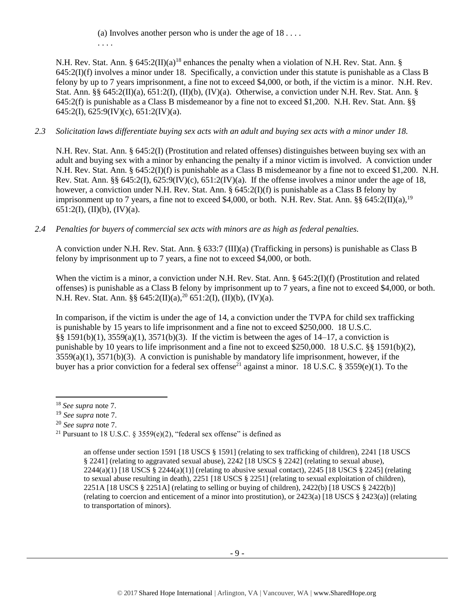(a) Involves another person who is under the age of  $18 \ldots$ . . . . .

N.H. Rev. Stat. Ann. § 645:2(II)(a)<sup>18</sup> enhances the penalty when a violation of N.H. Rev. Stat. Ann. § 645:2(I)(f) involves a minor under 18. Specifically, a conviction under this statute is punishable as a Class B felony by up to 7 years imprisonment, a fine not to exceed \$4,000, or both, if the victim is a minor. N.H. Rev. Stat. Ann. §§ 645:2(II)(a), 651:2(I), (II)(b), (IV)(a). Otherwise, a conviction under N.H. Rev. Stat. Ann. § 645:2(f) is punishable as a Class B misdemeanor by a fine not to exceed \$1,200. N.H. Rev. Stat. Ann. §§ 645:2(I), 625:9(IV)(c), 651:2(IV)(a).

# *2.3 Solicitation laws differentiate buying sex acts with an adult and buying sex acts with a minor under 18.*

N.H. Rev. Stat. Ann. § 645:2(I) (Prostitution and related offenses) distinguishes between buying sex with an adult and buying sex with a minor by enhancing the penalty if a minor victim is involved. A conviction under N.H. Rev. Stat. Ann. § 645:2(I)(f) is punishable as a Class B misdemeanor by a fine not to exceed \$1,200. N.H. Rev. Stat. Ann. §§ 645:2(I), 625:9(IV)(c), 651:2(IV)(a). If the offense involves a minor under the age of 18, however, a conviction under N.H. Rev. Stat. Ann. § 645:2(I)(f) is punishable as a Class B felony by imprisonment up to 7 years, a fine not to exceed \$4,000, or both. N.H. Rev. Stat. Ann. §§ 645:2(II)(a),<sup>19</sup> 651:2(I), (II)(b), (IV)(a).

# *2.4 Penalties for buyers of commercial sex acts with minors are as high as federal penalties.*

A conviction under N.H. Rev. Stat. Ann. § 633:7 (III)(a) (Trafficking in persons) is punishable as Class B felony by imprisonment up to 7 years, a fine not to exceed \$4,000, or both.

When the victim is a minor, a conviction under N.H. Rev. Stat. Ann. § 645:2(I)(f) (Prostitution and related offenses) is punishable as a Class B felony by imprisonment up to 7 years, a fine not to exceed \$4,000, or both. N.H. Rev. Stat. Ann. §§  $645:2(II)(a)$ ,<sup>20</sup>  $651:2(I)$ ,  $(II)(b)$ ,  $(IV)(a)$ .

In comparison, if the victim is under the age of 14, a conviction under the TVPA for child sex trafficking is punishable by 15 years to life imprisonment and a fine not to exceed \$250,000. 18 U.S.C. §§ 1591(b)(1), 3559(a)(1), 3571(b)(3). If the victim is between the ages of 14–17, a conviction is punishable by 10 years to life imprisonment and a fine not to exceed \$250,000. 18 U.S.C. §§ 1591(b)(2), 3559(a)(1), 3571(b)(3). A conviction is punishable by mandatory life imprisonment, however, if the buyer has a prior conviction for a federal sex offense<sup>21</sup> against a minor. 18 U.S.C. § 3559(e)(1). To the

 $\overline{\phantom{a}}$ 

<sup>20</sup> *See supra* note [7.](#page-3-0)

<span id="page-8-0"></span>an offense under section 1591 [18 USCS § 1591] (relating to sex trafficking of children), 2241 [18 USCS § 2241] (relating to aggravated sexual abuse), 2242 [18 USCS § 2242] (relating to sexual abuse),  $2244(a)(1)$  [18 USCS §  $2244(a)(1)$ ] (relating to abusive sexual contact),  $2245$  [18 USCS § 2245] (relating to sexual abuse resulting in death), 2251 [18 USCS § 2251] (relating to sexual exploitation of children), 2251A [18 USCS § 2251A] (relating to selling or buying of children), 2422(b) [18 USCS § 2422(b)] (relating to coercion and enticement of a minor into prostitution), or 2423(a) [18 USCS § 2423(a)] (relating to transportation of minors).

<sup>18</sup> *See supra* note [7.](#page-3-0)

<sup>19</sup> *See supra* note [7.](#page-3-0)

<sup>&</sup>lt;sup>21</sup> Pursuant to 18 U.S.C. § 3559(e)(2), "federal sex offense" is defined as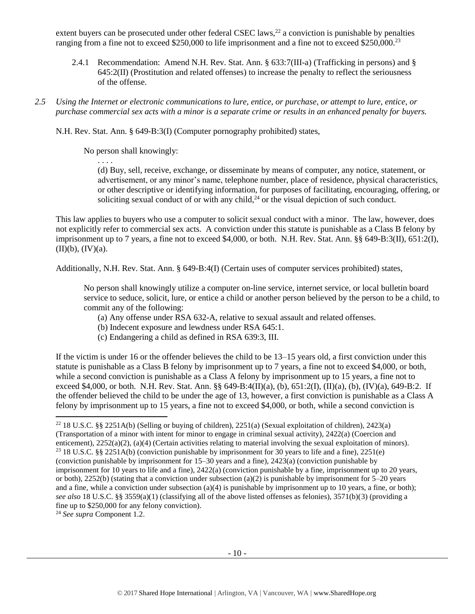extent buyers can be prosecuted under other federal CSEC laws,<sup>22</sup> a conviction is punishable by penalties ranging from a fine not to exceed \$250,000 to life imprisonment and a fine not to exceed \$250,000.<sup>23</sup>

- 2.4.1 Recommendation: Amend N.H. Rev. Stat. Ann. § 633:7(III-a) (Trafficking in persons) and § 645:2(II) (Prostitution and related offenses) to increase the penalty to reflect the seriousness of the offense.
- *2.5 Using the Internet or electronic communications to lure, entice, or purchase, or attempt to lure, entice, or purchase commercial sex acts with a minor is a separate crime or results in an enhanced penalty for buyers.*

N.H. Rev. Stat. Ann. § 649-B:3(I) (Computer pornography prohibited) states,

No person shall knowingly:

. . . .

(d) Buy, sell, receive, exchange, or disseminate by means of computer, any notice, statement, or advertisement, or any minor's name, telephone number, place of residence, physical characteristics, or other descriptive or identifying information, for purposes of facilitating, encouraging, offering, or soliciting sexual conduct of or with any child,<sup>24</sup> or the visual depiction of such conduct.

This law applies to buyers who use a computer to solicit sexual conduct with a minor. The law, however, does not explicitly refer to commercial sex acts. A conviction under this statute is punishable as a Class B felony by imprisonment up to 7 years, a fine not to exceed \$4,000, or both. N.H. Rev. Stat. Ann. §§ 649-B:3(II), 651:2(I),  $(II)(b)$ ,  $(IV)(a)$ .

Additionally, N.H. Rev. Stat. Ann. § 649-B:4(I) (Certain uses of computer services prohibited) states,

No person shall knowingly utilize a computer on-line service, internet service, or local bulletin board service to seduce, solicit, lure, or entice a child or another person believed by the person to be a child, to commit any of the following:

- (a) Any offense under RSA 632-A, relative to sexual assault and related offenses.
- (b) Indecent exposure and lewdness under RSA 645:1.
- (c) Endangering a child as defined in RSA 639:3, III.

If the victim is under 16 or the offender believes the child to be 13–15 years old, a first conviction under this statute is punishable as a Class B felony by imprisonment up to 7 years, a fine not to exceed \$4,000, or both, while a second conviction is punishable as a Class A felony by imprisonment up to 15 years, a fine not to exceed \$4,000, or both. N.H. Rev. Stat. Ann. §§ 649-B:4(II)(a), (b), 651:2(I), (II)(a), (b), (IV)(a), 649-B:2. If the offender believed the child to be under the age of 13, however, a first conviction is punishable as a Class A felony by imprisonment up to 15 years, a fine not to exceed \$4,000, or both, while a second conviction is

<sup>24</sup> *See supra* Component 1.2.

l

<sup>22</sup> 18 U.S.C. §§ 2251A(b) (Selling or buying of children), 2251(a) (Sexual exploitation of children), 2423(a) (Transportation of a minor with intent for minor to engage in criminal sexual activity), 2422(a) (Coercion and enticement), 2252(a)(2), (a)(4) (Certain activities relating to material involving the sexual exploitation of minors). <sup>23</sup> 18 U.S.C. §§ 2251A(b) (conviction punishable by imprisonment for 30 years to life and a fine), 2251(e) (conviction punishable by imprisonment for 15–30 years and a fine), 2423(a) (conviction punishable by imprisonment for 10 years to life and a fine), 2422(a) (conviction punishable by a fine, imprisonment up to 20 years, or both), 2252(b) (stating that a conviction under subsection (a)(2) is punishable by imprisonment for  $5-20$  years and a fine, while a conviction under subsection (a)(4) is punishable by imprisonment up to 10 years, a fine, or both); *see also* 18 U.S.C. §§ 3559(a)(1) (classifying all of the above listed offenses as felonies), 3571(b)(3) (providing a fine up to \$250,000 for any felony conviction).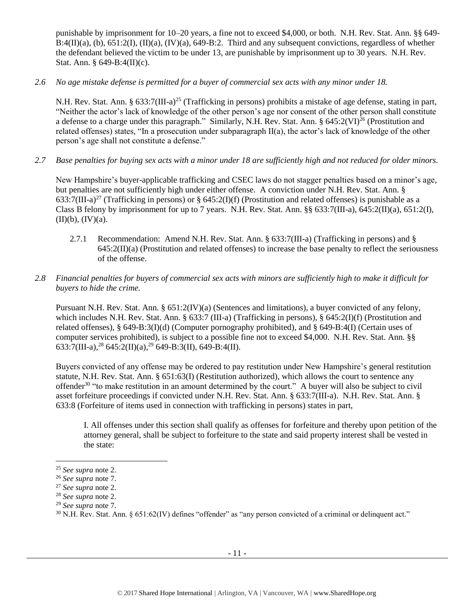punishable by imprisonment for 10–20 years, a fine not to exceed \$4,000, or both. N.H. Rev. Stat. Ann. §§ 649-  $B:4(II)(a)$ , (b),  $651:2(I)$ ,  $(II)(a)$ ,  $(IV)(a)$ ,  $649-B:2$ . Third and any subsequent convictions, regardless of whether the defendant believed the victim to be under 13, are punishable by imprisonment up to 30 years. N.H. Rev. Stat. Ann. § 649-B:4(II)(c).

# *2.6 No age mistake defense is permitted for a buyer of commercial sex acts with any minor under 18.*

N.H. Rev. Stat. Ann. § 633:7(III-a)<sup>25</sup> (Trafficking in persons) prohibits a mistake of age defense, stating in part, "Neither the actor's lack of knowledge of the other person's age nor consent of the other person shall constitute a defense to a charge under this paragraph." Similarly, N.H. Rev. Stat. Ann. § 645:2(VI)<sup>26</sup> (Prostitution and related offenses) states, "In a prosecution under subparagraph II(a), the actor's lack of knowledge of the other person's age shall not constitute a defense."

*2.7 Base penalties for buying sex acts with a minor under 18 are sufficiently high and not reduced for older minors.*

New Hampshire's buyer-applicable trafficking and CSEC laws do not stagger penalties based on a minor's age, but penalties are not sufficiently high under either offense. A conviction under N.H. Rev. Stat. Ann. § 633:7(III-a)<sup>27</sup> (Trafficking in persons) or § 645:2(I)(f) (Prostitution and related offenses) is punishable as a Class B felony by imprisonment for up to 7 years. N.H. Rev. Stat. Ann.  $\S$ § 633:7(III-a), 645:2(II)(a), 651:2(I),  $(II)(b)$ ,  $(IV)(a)$ .

- 2.7.1 Recommendation: Amend N.H. Rev. Stat. Ann. § 633:7(III-a) (Trafficking in persons) and § 645:2(II)(a) (Prostitution and related offenses) to increase the base penalty to reflect the seriousness of the offense.
- *2.8 Financial penalties for buyers of commercial sex acts with minors are sufficiently high to make it difficult for buyers to hide the crime.*

Pursuant N.H. Rev. Stat. Ann. § 651:2(IV)(a) (Sentences and limitations), a buyer convicted of any felony, which includes N.H. Rev. Stat. Ann. § 633:7 (III-a) (Trafficking in persons), § 645:2(I)(f) (Prostitution and related offenses), § 649-B:3(I)(d) (Computer pornography prohibited), and § 649-B:4(I) (Certain uses of computer services prohibited), is subject to a possible fine not to exceed \$4,000. N.H. Rev. Stat. Ann. §§ 633:7(III-a),<sup>28</sup> 645:2(II)(a),<sup>29</sup> 649-B:3(II), 649-B:4(II).

Buyers convicted of any offense may be ordered to pay restitution under New Hampshire's general restitution statute, N.H. Rev. Stat. Ann. § 651:63(I) (Restitution authorized), which allows the court to sentence any offender<sup>30</sup> "to make restitution in an amount determined by the court." A buyer will also be subject to civil asset forfeiture proceedings if convicted under N.H. Rev. Stat. Ann. § 633:7(III-a). N.H. Rev. Stat. Ann. § 633:8 (Forfeiture of items used in connection with trafficking in persons) states in part,

I. All offenses under this section shall qualify as offenses for forfeiture and thereby upon petition of the attorney general, shall be subject to forfeiture to the state and said property interest shall be vested in the state:

 $\overline{\phantom{a}}$ 

<sup>25</sup> *See supra* note [2.](#page-0-1)

<sup>26</sup> *See supra* note [7.](#page-3-0)

<sup>27</sup> *See supra* note [2.](#page-0-1)

<sup>28</sup> *See supra* note [2.](#page-0-1)

<sup>29</sup> *See supra* note [7.](#page-3-0)

 $30$  N.H. Rev. Stat. Ann. § 651:62(IV) defines "offender" as "any person convicted of a criminal or delinquent act."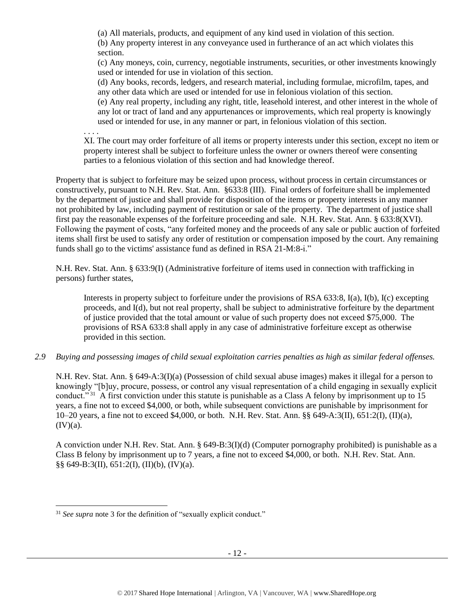(a) All materials, products, and equipment of any kind used in violation of this section.

(b) Any property interest in any conveyance used in furtherance of an act which violates this section.

(c) Any moneys, coin, currency, negotiable instruments, securities, or other investments knowingly used or intended for use in violation of this section.

(d) Any books, records, ledgers, and research material, including formulae, microfilm, tapes, and any other data which are used or intended for use in felonious violation of this section.

(e) Any real property, including any right, title, leasehold interest, and other interest in the whole of any lot or tract of land and any appurtenances or improvements, which real property is knowingly used or intended for use, in any manner or part, in felonious violation of this section.

. . . .

XI. The court may order forfeiture of all items or property interests under this section, except no item or property interest shall be subject to forfeiture unless the owner or owners thereof were consenting parties to a felonious violation of this section and had knowledge thereof.

Property that is subject to forfeiture may be seized upon process, without process in certain circumstances or constructively, pursuant to N.H. Rev. Stat. Ann. §633:8 (III). Final orders of forfeiture shall be implemented by the department of justice and shall provide for disposition of the items or property interests in any manner not prohibited by law, including payment of restitution or sale of the property. The department of justice shall first pay the reasonable expenses of the forfeiture proceeding and sale. N.H. Rev. Stat. Ann. § 633:8(XVI). Following the payment of costs, "any forfeited money and the proceeds of any sale or public auction of forfeited items shall first be used to satisfy any order of restitution or compensation imposed by the court. Any remaining funds shall go to the victims' assistance fund as defined in RSA 21-M:8-i."

N.H. Rev. Stat. Ann. § 633:9(I) (Administrative forfeiture of items used in connection with trafficking in persons) further states,

Interests in property subject to forfeiture under the provisions of RSA 633:8, I(a), I(b), I(c) excepting proceeds, and I(d), but not real property, shall be subject to administrative forfeiture by the department of justice provided that the total amount or value of such property does not exceed \$75,000. The provisions of RSA 633:8 shall apply in any case of administrative forfeiture except as otherwise provided in this section.

*2.9 Buying and possessing images of child sexual exploitation carries penalties as high as similar federal offenses.*

N.H. Rev. Stat. Ann. § 649-A:3(I)(a) (Possession of child sexual abuse images) makes it illegal for a person to knowingly "[b]uy, procure, possess, or control any visual representation of a child engaging in sexually explicit conduct."<sup>31</sup> A first conviction under this statute is punishable as a Class A felony by imprisonment up to 15 years, a fine not to exceed \$4,000, or both, while subsequent convictions are punishable by imprisonment for 10–20 years, a fine not to exceed \$4,000, or both. N.H. Rev. Stat. Ann. §§ 649-A:3(II), 651:2(I), (II)(a),  $(IV)(a)$ .

A conviction under N.H. Rev. Stat. Ann. § 649-B:3(I)(d) (Computer pornography prohibited) is punishable as a Class B felony by imprisonment up to 7 years, a fine not to exceed \$4,000, or both. N.H. Rev. Stat. Ann. §§ 649-B:3(II), 651:2(I), (II)(b), (IV)(a).

l

<sup>31</sup> *See supra* note [3](#page-0-0) for the definition of "sexually explicit conduct."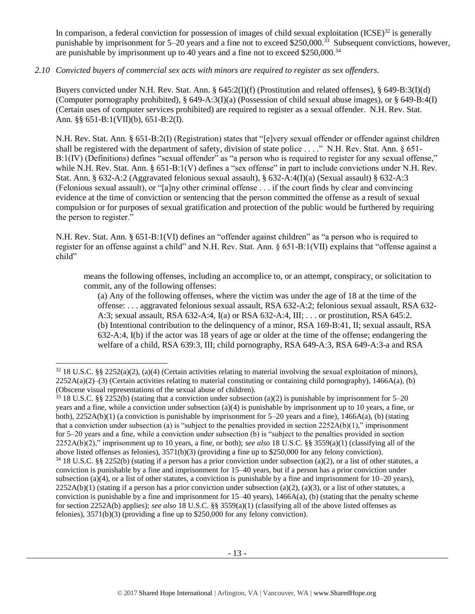In comparison, a federal conviction for possession of images of child sexual exploitation  $(ICSE)^{32}$  is generally punishable by imprisonment for 5–20 years and a fine not to exceed \$250,000.<sup>33</sup> Subsequent convictions, however, are punishable by imprisonment up to 40 years and a fine not to exceed \$250,000.<sup>34</sup>

# *2.10 Convicted buyers of commercial sex acts with minors are required to register as sex offenders.*

Buyers convicted under N.H. Rev. Stat. Ann. § 645:2(I)(f) (Prostitution and related offenses), § 649-B:3(I)(d) (Computer pornography prohibited), § 649-A:3(I)(a) (Possession of child sexual abuse images), or § 649-B:4(I) (Certain uses of computer services prohibited) are required to register as a sexual offender. N.H. Rev. Stat. Ann. §§ 651-B:1(VII)(b), 651-B:2(I).

N.H. Rev. Stat. Ann. § 651-B:2(I) (Registration) states that "[e]very sexual offender or offender against children shall be registered with the department of safety, division of state police . . . ." N.H. Rev. Stat. Ann. § 651- B:1(IV) (Definitions) defines "sexual offender" as "a person who is required to register for any sexual offense," while N.H. Rev. Stat. Ann. § 651-B:1(V) defines a "sex offense" in part to include convictions under N.H. Rev. Stat. Ann. § 632-A:2 (Aggravated felonious sexual assault), § 632-A:4(I)(a) (Sexual assault) § 632-A:3 (Felonious sexual assault), or "[a]ny other criminal offense . . . if the court finds by clear and convincing evidence at the time of conviction or sentencing that the person committed the offense as a result of sexual compulsion or for purposes of sexual gratification and protection of the public would be furthered by requiring the person to register."

N.H. Rev. Stat. Ann. § 651-B:1(VI) defines an "offender against children" as "a person who is required to register for an offense against a child" and N.H. Rev. Stat. Ann. § 651-B:1(VII) explains that "offense against a child"

means the following offenses, including an accomplice to, or an attempt, conspiracy, or solicitation to commit, any of the following offenses:

(a) Any of the following offenses, where the victim was under the age of 18 at the time of the offense: . . . aggravated felonious sexual assault, RSA 632-A:2; felonious sexual assault, RSA 632- A:3; sexual assault, RSA 632-A:4, I(a) or RSA 632-A:4, III; . . . or prostitution, RSA 645:2. (b) Intentional contribution to the delinquency of a minor, RSA 169-B:41, II; sexual assault, RSA 632-A:4, I(b) if the actor was 18 years of age or older at the time of the offense; endangering the welfare of a child, RSA 639:3, III; child pornography, RSA 649-A:3, RSA 649-A:3-a and RSA

l

<sup>33</sup> 18 U.S.C. §§ 2252(b) (stating that a conviction under subsection (a)(2) is punishable by imprisonment for 5–20 years and a fine, while a conviction under subsection (a)(4) is punishable by imprisonment up to 10 years, a fine, or both),  $2252A(b)(1)$  (a conviction is punishable by imprisonment for 5–20 years and a fine),  $1466A(a)$ , (b) (stating that a conviction under subsection (a) is "subject to the penalties provided in section  $2252A(b)(1)$ ," imprisonment for 5–20 years and a fine, while a conviction under subsection (b) is "subject to the penalties provided in section 2252A(b)(2)," imprisonment up to 10 years, a fine, or both); *see also* 18 U.S.C. §§ 3559(a)(1) (classifying all of the above listed offenses as felonies), 3571(b)(3) (providing a fine up to \$250,000 for any felony conviction).

<sup>32</sup> 18 U.S.C. §§ 2252(a)(2), (a)(4) (Certain activities relating to material involving the sexual exploitation of minors),  $2252A(a)(2)$ –(3) (Certain activities relating to material constituting or containing child pornography), 1466A(a), (b) (Obscene visual representations of the sexual abuse of children).

 $34\,18$  U.S.C. §§ 2252(b) (stating if a person has a prior conviction under subsection (a)(2), or a list of other statutes, a conviction is punishable by a fine and imprisonment for 15–40 years, but if a person has a prior conviction under subsection (a)(4), or a list of other statutes, a conviction is punishable by a fine and imprisonment for  $10-20$  years),  $2252A(b)(1)$  (stating if a person has a prior conviction under subsection (a)(2), (a)(3), or a list of other statutes, a conviction is punishable by a fine and imprisonment for  $15-40$  years),  $1466A(a)$ , (b) (stating that the penalty scheme for section 2252A(b) applies); *see also* 18 U.S.C. §§ 3559(a)(1) (classifying all of the above listed offenses as felonies), 3571(b)(3) (providing a fine up to \$250,000 for any felony conviction).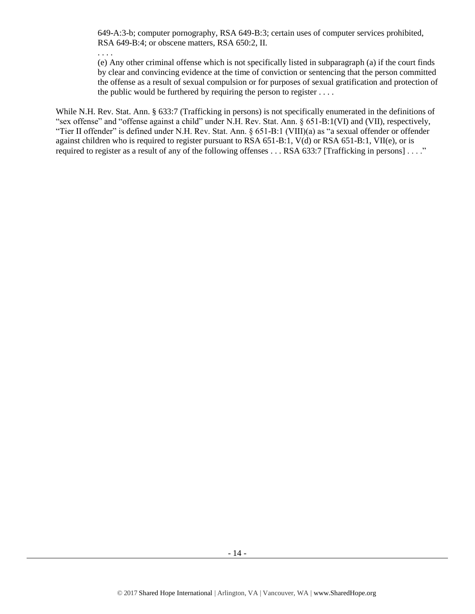649-A:3-b; computer pornography, RSA 649-B:3; certain uses of computer services prohibited, RSA 649-B:4; or obscene matters, RSA 650:2, II.

. . . .

(e) Any other criminal offense which is not specifically listed in subparagraph (a) if the court finds by clear and convincing evidence at the time of conviction or sentencing that the person committed the offense as a result of sexual compulsion or for purposes of sexual gratification and protection of the public would be furthered by requiring the person to register  $\dots$ .

While N.H. Rev. Stat. Ann. § 633:7 (Trafficking in persons) is not specifically enumerated in the definitions of "sex offense" and "offense against a child" under N.H. Rev. Stat. Ann. § 651-B:1(VI) and (VII), respectively, "Tier II offender" is defined under N.H. Rev. Stat. Ann. § 651-B:1 (VIII)(a) as "a sexual offender or offender against children who is required to register pursuant to RSA 651-B:1, V(d) or RSA 651-B:1, VII(e), or is required to register as a result of any of the following offenses . . . RSA 633:7 [Trafficking in persons] . . . ."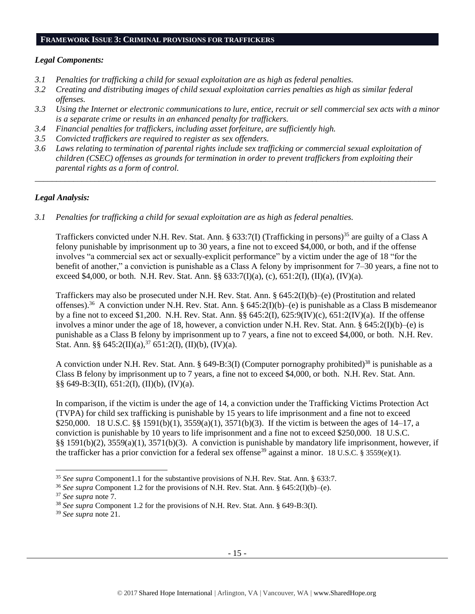#### **FRAMEWORK ISSUE 3: CRIMINAL PROVISIONS FOR TRAFFICKERS**

#### *Legal Components:*

- *3.1 Penalties for trafficking a child for sexual exploitation are as high as federal penalties.*
- *3.2 Creating and distributing images of child sexual exploitation carries penalties as high as similar federal offenses.*
- *3.3 Using the Internet or electronic communications to lure, entice, recruit or sell commercial sex acts with a minor is a separate crime or results in an enhanced penalty for traffickers.*
- *3.4 Financial penalties for traffickers, including asset forfeiture, are sufficiently high.*
- *3.5 Convicted traffickers are required to register as sex offenders.*
- *3.6 Laws relating to termination of parental rights include sex trafficking or commercial sexual exploitation of children (CSEC) offenses as grounds for termination in order to prevent traffickers from exploiting their parental rights as a form of control.*

*\_\_\_\_\_\_\_\_\_\_\_\_\_\_\_\_\_\_\_\_\_\_\_\_\_\_\_\_\_\_\_\_\_\_\_\_\_\_\_\_\_\_\_\_\_\_\_\_\_\_\_\_\_\_\_\_\_\_\_\_\_\_\_\_\_\_\_\_\_\_\_\_\_\_\_\_\_\_\_\_\_\_\_\_\_\_\_\_\_\_\_\_\_\_*

# *Legal Analysis:*

*3.1 Penalties for trafficking a child for sexual exploitation are as high as federal penalties.* 

Traffickers convicted under N.H. Rev. Stat. Ann. § 633:7(I) (Trafficking in persons)<sup>35</sup> are guilty of a Class A felony punishable by imprisonment up to 30 years, a fine not to exceed \$4,000, or both, and if the offense involves "a commercial sex act or sexually-explicit performance" by a victim under the age of 18 "for the benefit of another," a conviction is punishable as a Class A felony by imprisonment for 7–30 years, a fine not to exceed \$4,000, or both. N.H. Rev. Stat. Ann.  $\S$  633:7(I)(a), (c), 651:2(I), (II)(a), (IV)(a).

Traffickers may also be prosecuted under N.H. Rev. Stat. Ann. § 645:2(I)(b)–(e) (Prostitution and related offenses).<sup>36</sup> A conviction under N.H. Rev. Stat. Ann. § 645:2(I)(b)–(e) is punishable as a Class B misdemeanor by a fine not to exceed \$1,200. N.H. Rev. Stat. Ann. §§ 645:2(I), 625:9(IV)(c), 651:2(IV)(a). If the offense involves a minor under the age of 18, however, a conviction under N.H. Rev. Stat. Ann. §  $645:2(I)(b)$ –(e) is punishable as a Class B felony by imprisonment up to 7 years, a fine not to exceed \$4,000, or both. N.H. Rev. Stat. Ann. §§  $645:2(II)(a),^{37} 651:2(I), (II)(b), (IV)(a)$ .

A conviction under N.H. Rev. Stat. Ann. § 649-B:3(I) (Computer pornography prohibited)<sup>38</sup> is punishable as a Class B felony by imprisonment up to 7 years, a fine not to exceed \$4,000, or both. N.H. Rev. Stat. Ann. §§ 649-B:3(II), 651:2(I), (II)(b), (IV)(a).

In comparison, if the victim is under the age of 14, a conviction under the Trafficking Victims Protection Act (TVPA) for child sex trafficking is punishable by 15 years to life imprisonment and a fine not to exceed \$250,000. 18 U.S.C. §§ 1591(b)(1), 3559(a)(1), 3571(b)(3). If the victim is between the ages of 14–17, a conviction is punishable by 10 years to life imprisonment and a fine not to exceed \$250,000. 18 U.S.C. §§ 1591(b)(2), 3559(a)(1), 3571(b)(3). A conviction is punishable by mandatory life imprisonment, however, if the trafficker has a prior conviction for a federal sex offense<sup>39</sup> against a minor. 18 U.S.C. § 3559(e)(1).

 $\overline{a}$ 

<sup>35</sup> *See supra* Component1.1 for the substantive provisions of N.H. Rev. Stat. Ann. § 633:7.

<sup>&</sup>lt;sup>36</sup> *See supra* Component 1.2 for the provisions of N.H. Rev. Stat. Ann. § 645:2(I)(b)–(e).

<sup>37</sup> *See supra* note [7.](#page-3-0)

<sup>38</sup> *See supra* Component 1.2 for the provisions of N.H. Rev. Stat. Ann. § 649-B:3(I).

<sup>39</sup> *See supra* note [21.](#page-8-0)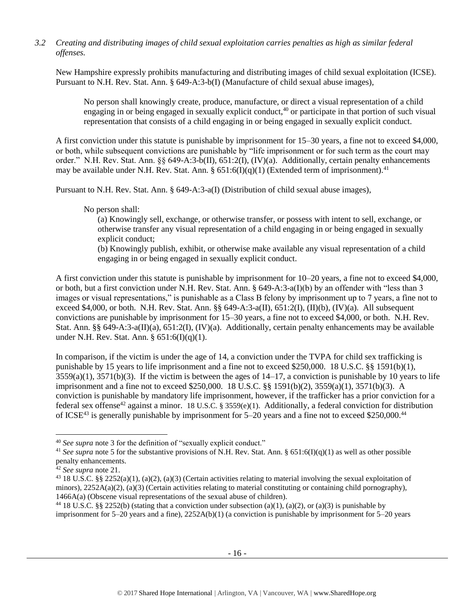# *3.2 Creating and distributing images of child sexual exploitation carries penalties as high as similar federal offenses.*

New Hampshire expressly prohibits manufacturing and distributing images of child sexual exploitation (ICSE). Pursuant to N.H. Rev. Stat. Ann. § 649-A:3-b(I) (Manufacture of child sexual abuse images),

No person shall knowingly create, produce, manufacture, or direct a visual representation of a child engaging in or being engaged in sexually explicit conduct,  $40$  or participate in that portion of such visual representation that consists of a child engaging in or being engaged in sexually explicit conduct.

A first conviction under this statute is punishable by imprisonment for 15–30 years, a fine not to exceed \$4,000, or both, while subsequent convictions are punishable by "life imprisonment or for such term as the court may order." N.H. Rev. Stat. Ann. §§ 649-A:3-b(II), 651:2(I), (IV)(a). Additionally, certain penalty enhancements may be available under N.H. Rev. Stat. Ann. §  $651:6(I)(q)(1)$  (Extended term of imprisonment).<sup>41</sup>

Pursuant to N.H. Rev. Stat. Ann. § 649-A:3-a(I) (Distribution of child sexual abuse images),

No person shall:

(a) Knowingly sell, exchange, or otherwise transfer, or possess with intent to sell, exchange, or otherwise transfer any visual representation of a child engaging in or being engaged in sexually explicit conduct;

(b) Knowingly publish, exhibit, or otherwise make available any visual representation of a child engaging in or being engaged in sexually explicit conduct.

A first conviction under this statute is punishable by imprisonment for 10–20 years, a fine not to exceed \$4,000, or both, but a first conviction under N.H. Rev. Stat. Ann. § 649-A:3-a(I)(b) by an offender with "less than 3 images or visual representations," is punishable as a Class B felony by imprisonment up to 7 years, a fine not to exceed \$4,000, or both. N.H. Rev. Stat. Ann. §§ 649-A:3-a(II), 651:2(I), (II)(b), (IV)(a). All subsequent convictions are punishable by imprisonment for 15–30 years, a fine not to exceed \$4,000, or both. N.H. Rev. Stat. Ann. §§ 649-A:3-a(II)(a), 651:2(I), (IV)(a). Additionally, certain penalty enhancements may be available under N.H. Rev. Stat. Ann. § 651:6(I)(q)(1).

In comparison, if the victim is under the age of 14, a conviction under the TVPA for child sex trafficking is punishable by 15 years to life imprisonment and a fine not to exceed \$250,000. 18 U.S.C. §§ 1591(b)(1),  $3559(a)(1)$ ,  $3571(b)(3)$ . If the victim is between the ages of  $14-17$ , a conviction is punishable by 10 years to life imprisonment and a fine not to exceed \$250,000. 18 U.S.C. §§ 1591(b)(2), 3559(a)(1), 3571(b)(3). A conviction is punishable by mandatory life imprisonment, however, if the trafficker has a prior conviction for a federal sex offense<sup>42</sup> against a minor. 18 U.S.C. § 3559(e)(1). Additionally, a federal conviction for distribution of ICSE<sup>43</sup> is generally punishable by imprisonment for 5–20 years and a fine not to exceed \$250,000.<sup>44</sup>

 $\overline{a}$ 

<sup>40</sup> *See supra* note [3](#page-0-0) for the definition of "sexually explicit conduct."

<sup>&</sup>lt;sup>41</sup> See supra note [5](#page-1-0) for the substantive provisions of N.H. Rev. Stat. Ann. § 651:6(I)(q)(1) as well as other possible penalty enhancements.

<sup>42</sup> *See supra* note [21.](#page-8-0)

<sup>&</sup>lt;sup>43</sup> 18 U.S.C. §§ 2252(a)(1), (a)(2), (a)(3) (Certain activities relating to material involving the sexual exploitation of minors),  $2252A(a)(2)$ , (a)(3) (Certain activities relating to material constituting or containing child pornography), 1466A(a) (Obscene visual representations of the sexual abuse of children).

<sup>&</sup>lt;sup>44</sup> 18 U.S.C. §§ 2252(b) (stating that a conviction under subsection (a)(1), (a)(2), or (a)(3) is punishable by imprisonment for 5–20 years and a fine), 2252A(b)(1) (a conviction is punishable by imprisonment for 5–20 years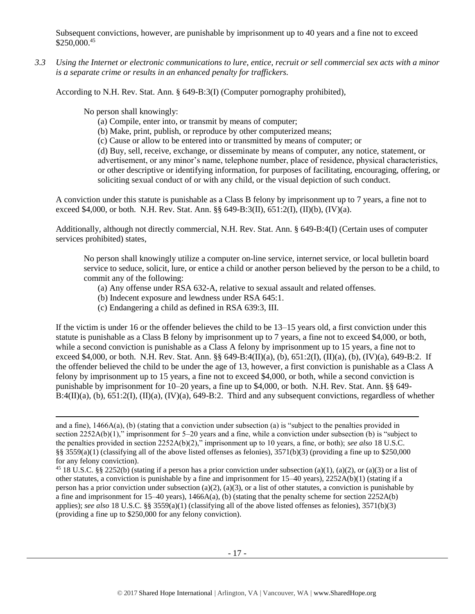Subsequent convictions, however, are punishable by imprisonment up to 40 years and a fine not to exceed \$250,000.<sup>45</sup>

*3.3 Using the Internet or electronic communications to lure, entice, recruit or sell commercial sex acts with a minor is a separate crime or results in an enhanced penalty for traffickers.*

According to N.H. Rev. Stat. Ann. § 649-B:3(I) (Computer pornography prohibited),

No person shall knowingly:

l

- (a) Compile, enter into, or transmit by means of computer;
- (b) Make, print, publish, or reproduce by other computerized means;
- (c) Cause or allow to be entered into or transmitted by means of computer; or

(d) Buy, sell, receive, exchange, or disseminate by means of computer, any notice, statement, or advertisement, or any minor's name, telephone number, place of residence, physical characteristics, or other descriptive or identifying information, for purposes of facilitating, encouraging, offering, or soliciting sexual conduct of or with any child, or the visual depiction of such conduct.

A conviction under this statute is punishable as a Class B felony by imprisonment up to 7 years, a fine not to exceed \$4,000, or both. N.H. Rev. Stat. Ann. §§ 649-B:3(II), 651:2(I), (II)(b), (IV)(a).

Additionally, although not directly commercial, N.H. Rev. Stat. Ann. § 649-B:4(I) (Certain uses of computer services prohibited) states,

No person shall knowingly utilize a computer on-line service, internet service, or local bulletin board service to seduce, solicit, lure, or entice a child or another person believed by the person to be a child, to commit any of the following:

- (a) Any offense under RSA 632-A, relative to sexual assault and related offenses.
- (b) Indecent exposure and lewdness under RSA 645:1.
- (c) Endangering a child as defined in RSA 639:3, III.

If the victim is under 16 or the offender believes the child to be 13–15 years old, a first conviction under this statute is punishable as a Class B felony by imprisonment up to 7 years, a fine not to exceed \$4,000, or both, while a second conviction is punishable as a Class A felony by imprisonment up to 15 years, a fine not to exceed \$4,000, or both. N.H. Rev. Stat. Ann. §§ 649-B:4(II)(a), (b), 651:2(I), (II)(a), (b), (IV)(a), 649-B:2. If the offender believed the child to be under the age of 13, however, a first conviction is punishable as a Class A felony by imprisonment up to 15 years, a fine not to exceed \$4,000, or both, while a second conviction is punishable by imprisonment for 10–20 years, a fine up to \$4,000, or both. N.H. Rev. Stat. Ann. §§ 649-  $B:4(II)(a)$ , (b),  $651:2(I)$ ,  $(II)(a)$ ,  $(IV)(a)$ ,  $649-8:2$ . Third and any subsequent convictions, regardless of whether

and a fine), 1466A(a), (b) (stating that a conviction under subsection (a) is "subject to the penalties provided in section 2252A(b)(1)," imprisonment for 5–20 years and a fine, while a conviction under subsection (b) is "subject to the penalties provided in section 2252A(b)(2)," imprisonment up to 10 years, a fine, or both); *see also* 18 U.S.C. §§ 3559(a)(1) (classifying all of the above listed offenses as felonies), 3571(b)(3) (providing a fine up to \$250,000 for any felony conviction).

<sup>&</sup>lt;sup>45</sup> 18 U.S.C. §§ 2252(b) (stating if a person has a prior conviction under subsection (a)(1), (a)(2), or (a)(3) or a list of other statutes, a conviction is punishable by a fine and imprisonment for 15–40 years), 2252A(b)(1) (stating if a person has a prior conviction under subsection (a)(2), (a)(3), or a list of other statutes, a conviction is punishable by a fine and imprisonment for  $15-40$  years),  $1466A(a)$ , (b) (stating that the penalty scheme for section  $2252A(b)$ applies); *see also* 18 U.S.C. §§ 3559(a)(1) (classifying all of the above listed offenses as felonies), 3571(b)(3) (providing a fine up to \$250,000 for any felony conviction).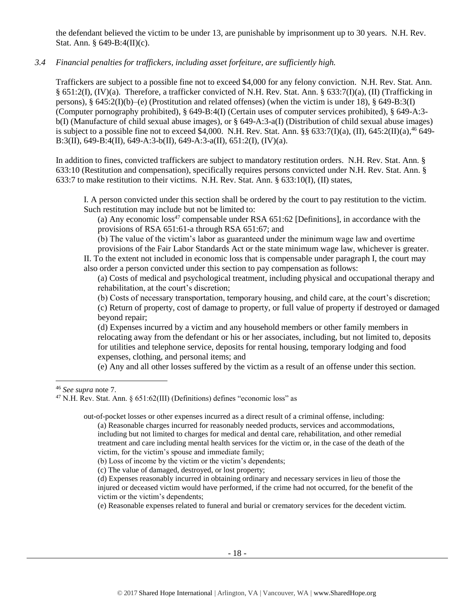the defendant believed the victim to be under 13, are punishable by imprisonment up to 30 years. N.H. Rev. Stat. Ann. § 649-B:4(II)(c).

# *3.4 Financial penalties for traffickers, including asset forfeiture, are sufficiently high.*

Traffickers are subject to a possible fine not to exceed \$4,000 for any felony conviction. N.H. Rev. Stat. Ann. § 651:2(I), (IV)(a). Therefore, a trafficker convicted of N.H. Rev. Stat. Ann. § 633:7(I)(a), (II) (Trafficking in persons), § 645:2(I)(b)–(e) (Prostitution and related offenses) (when the victim is under 18), § 649-B:3(I) (Computer pornography prohibited), § 649-B:4(I) (Certain uses of computer services prohibited), § 649-A:3 b(I) (Manufacture of child sexual abuse images), or § 649-A:3-a(I) (Distribution of child sexual abuse images) is subject to a possible fine not to exceed \$4,000. N.H. Rev. Stat. Ann.  $\S § 633:7(I)(a)$ ,  $(II)$ , 645:2 $(II)(a)$ ,  $^{46}$  649-B:3(II), 649-B:4(II), 649-A:3-b(II), 649-A:3-a(II), 651:2(I), (IV)(a).

In addition to fines, convicted traffickers are subject to mandatory restitution orders. N.H. Rev. Stat. Ann. § 633:10 (Restitution and compensation), specifically requires persons convicted under N.H. Rev. Stat. Ann. § 633:7 to make restitution to their victims. N.H. Rev. Stat. Ann. § 633:10(I), (II) states,

I. A person convicted under this section shall be ordered by the court to pay restitution to the victim. Such restitution may include but not be limited to:

<span id="page-17-0"></span>(a) Any economic  $loss^{47}$  compensable under RSA 651:62 [Definitions], in accordance with the provisions of RSA 651:61-a through RSA 651:67; and

(b) The value of the victim's labor as guaranteed under the minimum wage law and overtime provisions of the Fair Labor Standards Act or the state minimum wage law, whichever is greater.

II. To the extent not included in economic loss that is compensable under paragraph I, the court may also order a person convicted under this section to pay compensation as follows:

(a) Costs of medical and psychological treatment, including physical and occupational therapy and rehabilitation, at the court's discretion;

(b) Costs of necessary transportation, temporary housing, and child care, at the court's discretion; (c) Return of property, cost of damage to property, or full value of property if destroyed or damaged beyond repair;

(d) Expenses incurred by a victim and any household members or other family members in relocating away from the defendant or his or her associates, including, but not limited to, deposits for utilities and telephone service, deposits for rental housing, temporary lodging and food expenses, clothing, and personal items; and

(e) Any and all other losses suffered by the victim as a result of an offense under this section.

 $\overline{a}$ 

out-of-pocket losses or other expenses incurred as a direct result of a criminal offense, including:

<sup>46</sup> *See supra* note [7.](#page-3-0)

<sup>&</sup>lt;sup>47</sup> N.H. Rev. Stat. Ann. § 651:62(III) (Definitions) defines "economic loss" as

<sup>(</sup>a) Reasonable charges incurred for reasonably needed products, services and accommodations, including but not limited to charges for medical and dental care, rehabilitation, and other remedial treatment and care including mental health services for the victim or, in the case of the death of the victim, for the victim's spouse and immediate family;

<sup>(</sup>b) Loss of income by the victim or the victim's dependents;

<sup>(</sup>c) The value of damaged, destroyed, or lost property;

<sup>(</sup>d) Expenses reasonably incurred in obtaining ordinary and necessary services in lieu of those the injured or deceased victim would have performed, if the crime had not occurred, for the benefit of the victim or the victim's dependents;

<sup>(</sup>e) Reasonable expenses related to funeral and burial or crematory services for the decedent victim.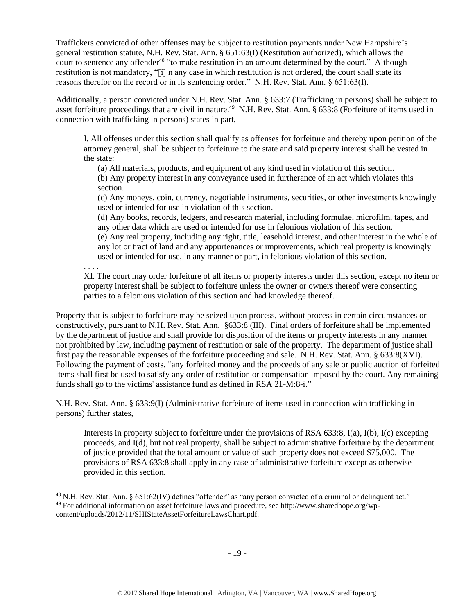Traffickers convicted of other offenses may be subject to restitution payments under New Hampshire's general restitution statute, N.H. Rev. Stat. Ann. § 651:63(I) (Restitution authorized), which allows the court to sentence any offender<sup>48</sup> "to make restitution in an amount determined by the court." Although restitution is not mandatory, "[i] n any case in which restitution is not ordered, the court shall state its reasons therefor on the record or in its sentencing order." N.H. Rev. Stat. Ann. § 651:63(I).

Additionally, a person convicted under N.H. Rev. Stat. Ann. § 633:7 (Trafficking in persons) shall be subject to asset forfeiture proceedings that are civil in nature.<sup>49</sup> N.H. Rev. Stat. Ann. § 633:8 (Forfeiture of items used in connection with trafficking in persons) states in part,

I. All offenses under this section shall qualify as offenses for forfeiture and thereby upon petition of the attorney general, shall be subject to forfeiture to the state and said property interest shall be vested in the state:

(a) All materials, products, and equipment of any kind used in violation of this section.

(b) Any property interest in any conveyance used in furtherance of an act which violates this section.

(c) Any moneys, coin, currency, negotiable instruments, securities, or other investments knowingly used or intended for use in violation of this section.

(d) Any books, records, ledgers, and research material, including formulae, microfilm, tapes, and any other data which are used or intended for use in felonious violation of this section.

(e) Any real property, including any right, title, leasehold interest, and other interest in the whole of any lot or tract of land and any appurtenances or improvements, which real property is knowingly used or intended for use, in any manner or part, in felonious violation of this section.

. . . .

 $\overline{\phantom{a}}$ 

XI. The court may order forfeiture of all items or property interests under this section, except no item or property interest shall be subject to forfeiture unless the owner or owners thereof were consenting parties to a felonious violation of this section and had knowledge thereof.

Property that is subject to forfeiture may be seized upon process, without process in certain circumstances or constructively, pursuant to N.H. Rev. Stat. Ann. §633:8 (III). Final orders of forfeiture shall be implemented by the department of justice and shall provide for disposition of the items or property interests in any manner not prohibited by law, including payment of restitution or sale of the property. The department of justice shall first pay the reasonable expenses of the forfeiture proceeding and sale. N.H. Rev. Stat. Ann. § 633:8(XVI). Following the payment of costs, "any forfeited money and the proceeds of any sale or public auction of forfeited items shall first be used to satisfy any order of restitution or compensation imposed by the court. Any remaining funds shall go to the victims' assistance fund as defined in RSA 21-M:8-i."

N.H. Rev. Stat. Ann. § 633:9(I) (Administrative forfeiture of items used in connection with trafficking in persons) further states,

Interests in property subject to forfeiture under the provisions of RSA 633:8, I(a), I(b), I(c) excepting proceeds, and I(d), but not real property, shall be subject to administrative forfeiture by the department of justice provided that the total amount or value of such property does not exceed \$75,000. The provisions of RSA 633:8 shall apply in any case of administrative forfeiture except as otherwise provided in this section.

<sup>48</sup> N.H. Rev. Stat. Ann. § 651:62(IV) defines "offender" as "any person convicted of a criminal or delinquent act." <sup>49</sup> For additional information on asset forfeiture laws and procedure, see http://www.sharedhope.org/wpcontent/uploads/2012/11/SHIStateAssetForfeitureLawsChart.pdf.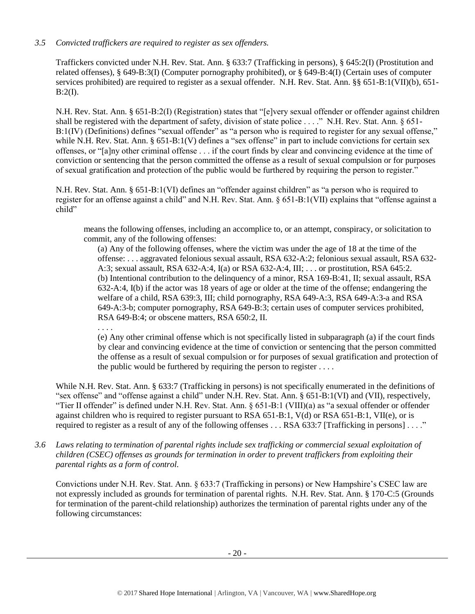# *3.5 Convicted traffickers are required to register as sex offenders.*

Traffickers convicted under N.H. Rev. Stat. Ann. § 633:7 (Trafficking in persons), § 645:2(I) (Prostitution and related offenses), § 649-B:3(I) (Computer pornography prohibited), or § 649-B:4(I) (Certain uses of computer services prohibited) are required to register as a sexual offender. N.H. Rev. Stat. Ann. §§ 651-B:1(VII)(b), 651-  $B:2(I).$ 

N.H. Rev. Stat. Ann. § 651-B:2(I) (Registration) states that "[e]very sexual offender or offender against children shall be registered with the department of safety, division of state police . . . ." N.H. Rev. Stat. Ann. § 651-B:1(IV) (Definitions) defines "sexual offender" as "a person who is required to register for any sexual offense," while N.H. Rev. Stat. Ann. § 651-B:1(V) defines a "sex offense" in part to include convictions for certain sex offenses, or "[a]ny other criminal offense . . . if the court finds by clear and convincing evidence at the time of conviction or sentencing that the person committed the offense as a result of sexual compulsion or for purposes of sexual gratification and protection of the public would be furthered by requiring the person to register."

N.H. Rev. Stat. Ann. § 651-B:1(VI) defines an "offender against children" as "a person who is required to register for an offense against a child" and N.H. Rev. Stat. Ann. § 651-B:1(VII) explains that "offense against a child"

means the following offenses, including an accomplice to, or an attempt, conspiracy, or solicitation to commit, any of the following offenses:

(a) Any of the following offenses, where the victim was under the age of 18 at the time of the offense: . . . aggravated felonious sexual assault, RSA 632-A:2; felonious sexual assault, RSA 632- A:3; sexual assault, RSA 632-A:4, I(a) or RSA 632-A:4, III; . . . or prostitution, RSA 645:2. (b) Intentional contribution to the delinquency of a minor, RSA 169-B:41, II; sexual assault, RSA 632-A:4, I(b) if the actor was 18 years of age or older at the time of the offense; endangering the welfare of a child, RSA 639:3, III; child pornography, RSA 649-A:3, RSA 649-A:3-a and RSA 649-A:3-b; computer pornography, RSA 649-B:3; certain uses of computer services prohibited, RSA 649-B:4; or obscene matters, RSA 650:2, II.

. . . .

(e) Any other criminal offense which is not specifically listed in subparagraph (a) if the court finds by clear and convincing evidence at the time of conviction or sentencing that the person committed the offense as a result of sexual compulsion or for purposes of sexual gratification and protection of the public would be furthered by requiring the person to register  $\dots$ .

While N.H. Rev. Stat. Ann. § 633:7 (Trafficking in persons) is not specifically enumerated in the definitions of "sex offense" and "offense against a child" under N.H. Rev. Stat. Ann. § 651-B:1(VI) and (VII), respectively, "Tier II offender" is defined under N.H. Rev. Stat. Ann. § 651-B:1 (VIII)(a) as "a sexual offender or offender against children who is required to register pursuant to RSA 651-B:1, V(d) or RSA 651-B:1, VII(e), or is required to register as a result of any of the following offenses . . . RSA 633:7 [Trafficking in persons] . . . ."

*3.6 Laws relating to termination of parental rights include sex trafficking or commercial sexual exploitation of children (CSEC) offenses as grounds for termination in order to prevent traffickers from exploiting their parental rights as a form of control.*

Convictions under N.H. Rev. Stat. Ann. § 633:7 (Trafficking in persons) or New Hampshire's CSEC law are not expressly included as grounds for termination of parental rights. N.H. Rev. Stat. Ann. § 170-C:5 (Grounds for termination of the parent-child relationship) authorizes the termination of parental rights under any of the following circumstances: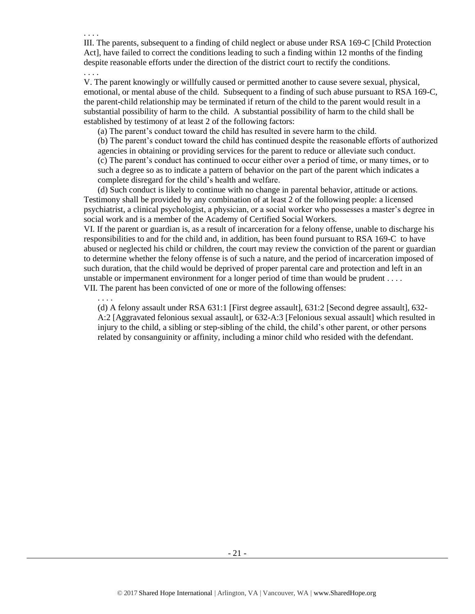III. The parents, subsequent to a finding of child neglect or abuse under RSA 169-C [Child Protection Act], have failed to correct the conditions leading to such a finding within 12 months of the finding despite reasonable efforts under the direction of the district court to rectify the conditions.

. . . . V. The parent knowingly or willfully caused or permitted another to cause severe sexual, physical, emotional, or mental abuse of the child. Subsequent to a finding of such abuse pursuant to RSA 169-C, the parent-child relationship may be terminated if return of the child to the parent would result in a substantial possibility of harm to the child. A substantial possibility of harm to the child shall be established by testimony of at least 2 of the following factors:

(a) The parent's conduct toward the child has resulted in severe harm to the child.

. . . .

. . . .

(b) The parent's conduct toward the child has continued despite the reasonable efforts of authorized

agencies in obtaining or providing services for the parent to reduce or alleviate such conduct. (c) The parent's conduct has continued to occur either over a period of time, or many times, or to such a degree so as to indicate a pattern of behavior on the part of the parent which indicates a complete disregard for the child's health and welfare.

(d) Such conduct is likely to continue with no change in parental behavior, attitude or actions. Testimony shall be provided by any combination of at least 2 of the following people: a licensed psychiatrist, a clinical psychologist, a physician, or a social worker who possesses a master's degree in social work and is a member of the Academy of Certified Social Workers.

VI. If the parent or guardian is, as a result of incarceration for a felony offense, unable to discharge his responsibilities to and for the child and, in addition, has been found pursuant to RSA 169-C to have abused or neglected his child or children, the court may review the conviction of the parent or guardian to determine whether the felony offense is of such a nature, and the period of incarceration imposed of such duration, that the child would be deprived of proper parental care and protection and left in an unstable or impermanent environment for a longer period of time than would be prudent . . . . VII. The parent has been convicted of one or more of the following offenses:

(d) A felony assault under RSA 631:1 [First degree assault], 631:2 [Second degree assault], 632- A:2 [Aggravated felonious sexual assault], or 632-A:3 [Felonious sexual assault] which resulted in injury to the child, a sibling or step-sibling of the child, the child's other parent, or other persons related by consanguinity or affinity, including a minor child who resided with the defendant.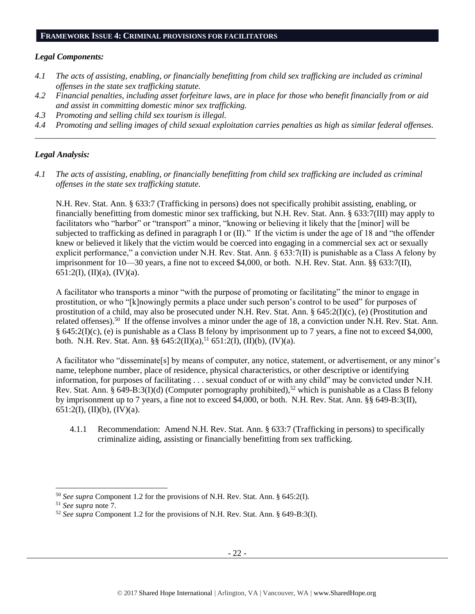#### **FRAMEWORK ISSUE 4: CRIMINAL PROVISIONS FOR FACILITATORS**

#### *Legal Components:*

- *4.1 The acts of assisting, enabling, or financially benefitting from child sex trafficking are included as criminal offenses in the state sex trafficking statute.*
- *4.2 Financial penalties, including asset forfeiture laws, are in place for those who benefit financially from or aid and assist in committing domestic minor sex trafficking.*
- *4.3 Promoting and selling child sex tourism is illegal.*
- *4.4 Promoting and selling images of child sexual exploitation carries penalties as high as similar federal offenses. \_\_\_\_\_\_\_\_\_\_\_\_\_\_\_\_\_\_\_\_\_\_\_\_\_\_\_\_\_\_\_\_\_\_\_\_\_\_\_\_\_\_\_\_\_\_\_\_\_\_\_\_\_\_\_\_\_\_\_\_\_\_\_\_\_\_\_\_\_\_\_\_\_\_\_\_\_\_\_\_\_\_\_\_\_\_\_\_\_\_\_\_\_\_*

# *Legal Analysis:*

*4.1 The acts of assisting, enabling, or financially benefitting from child sex trafficking are included as criminal offenses in the state sex trafficking statute.*

N.H. Rev. Stat. Ann. § 633:7 (Trafficking in persons) does not specifically prohibit assisting, enabling, or financially benefitting from domestic minor sex trafficking, but N.H. Rev. Stat. Ann. § 633:7(III) may apply to facilitators who "harbor" or "transport" a minor, "knowing or believing it likely that the [minor] will be subjected to trafficking as defined in paragraph I or (II)." If the victim is under the age of 18 and "the offender knew or believed it likely that the victim would be coerced into engaging in a commercial sex act or sexually explicit performance," a conviction under N.H. Rev. Stat. Ann. § 633:7(II) is punishable as a Class A felony by imprisonment for 10—30 years, a fine not to exceed \$4,000, or both. N.H. Rev. Stat. Ann. §§ 633:7(II), 651:2(I), (II)(a), (IV)(a).

A facilitator who transports a minor "with the purpose of promoting or facilitating" the minor to engage in prostitution, or who "[k]nowingly permits a place under such person's control to be used" for purposes of prostitution of a child, may also be prosecuted under N.H. Rev. Stat. Ann. § 645:2(I)(c), (e) (Prostitution and related offenses).<sup>50</sup> If the offense involves a minor under the age of 18, a conviction under N.H. Rev. Stat. Ann. § 645:2(I)(c), (e) is punishable as a Class B felony by imprisonment up to 7 years, a fine not to exceed \$4,000, both. N.H. Rev. Stat. Ann. §§  $645:2(II)(a)$ ,<sup>51</sup> 651:2(I), (II)(b), (IV)(a).

A facilitator who "disseminate[s] by means of computer, any notice, statement, or advertisement, or any minor's name, telephone number, place of residence, physical characteristics, or other descriptive or identifying information, for purposes of facilitating . . . sexual conduct of or with any child" may be convicted under N.H. Rev. Stat. Ann. § 649-B:3(I)(d) (Computer pornography prohibited),<sup>52</sup> which is punishable as a Class B felony by imprisonment up to 7 years, a fine not to exceed \$4,000, or both. N.H. Rev. Stat. Ann. §§ 649-B:3(II), 651:2(I), (II)(b), (IV)(a).

4.1.1 Recommendation: Amend N.H. Rev. Stat. Ann. § 633:7 (Trafficking in persons) to specifically criminalize aiding, assisting or financially benefitting from sex trafficking.

 $\overline{\phantom{a}}$ 

<sup>50</sup> *See supra* Component 1.2 for the provisions of N.H. Rev. Stat. Ann. § 645:2(I).

<sup>51</sup> *See supra* note [7.](#page-3-0)

<sup>52</sup> *See supra* Component 1.2 for the provisions of N.H. Rev. Stat. Ann. § 649-B:3(I).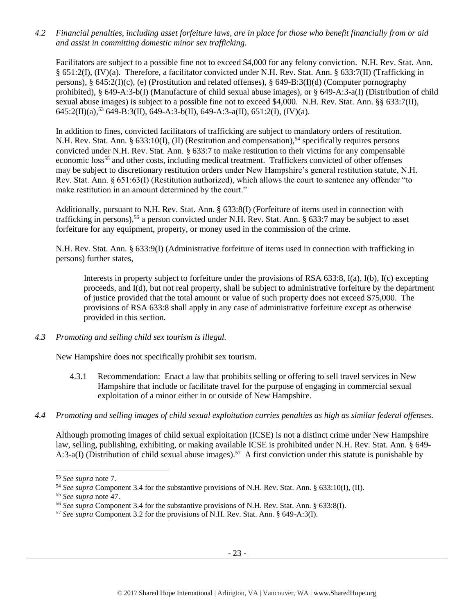*4.2 Financial penalties, including asset forfeiture laws, are in place for those who benefit financially from or aid and assist in committing domestic minor sex trafficking.*

Facilitators are subject to a possible fine not to exceed \$4,000 for any felony conviction. N.H. Rev. Stat. Ann. § 651:2(I), (IV)(a). Therefore, a facilitator convicted under N.H. Rev. Stat. Ann. § 633:7(II) (Trafficking in persons), § 645:2(I)(c), (e) (Prostitution and related offenses), § 649-B:3(I)(d) (Computer pornography prohibited), § 649-A:3-b(I) (Manufacture of child sexual abuse images), or § 649-A:3-a(I) (Distribution of child sexual abuse images) is subject to a possible fine not to exceed \$4,000. N.H. Rev. Stat. Ann. §§ 633:7(II),  $645:2(II)(a)$ ,<sup>53</sup> 649-B:3(II), 649-A:3-b(II), 649-A:3-a(II), 651:2(I), (IV)(a).

In addition to fines, convicted facilitators of trafficking are subject to mandatory orders of restitution. N.H. Rev. Stat. Ann. § 633:10(I), (II) (Restitution and compensation),<sup>54</sup> specifically requires persons convicted under N.H. Rev. Stat. Ann. § 633:7 to make restitution to their victims for any compensable economic loss<sup>55</sup> and other costs, including medical treatment. Traffickers convicted of other offenses may be subject to discretionary restitution orders under New Hampshire's general restitution statute, N.H. Rev. Stat. Ann. § 651:63(I) (Restitution authorized), which allows the court to sentence any offender "to make restitution in an amount determined by the court."

Additionally, pursuant to N.H. Rev. Stat. Ann. § 633:8(I) (Forfeiture of items used in connection with trafficking in persons),<sup>56</sup> a person convicted under N.H. Rev. Stat. Ann. § 633:7 may be subject to asset forfeiture for any equipment, property, or money used in the commission of the crime.

N.H. Rev. Stat. Ann. § 633:9(I) (Administrative forfeiture of items used in connection with trafficking in persons) further states,

Interests in property subject to forfeiture under the provisions of RSA 633:8, I(a), I(b), I(c) excepting proceeds, and I(d), but not real property, shall be subject to administrative forfeiture by the department of justice provided that the total amount or value of such property does not exceed \$75,000. The provisions of RSA 633:8 shall apply in any case of administrative forfeiture except as otherwise provided in this section.

*4.3 Promoting and selling child sex tourism is illegal.*

New Hampshire does not specifically prohibit sex tourism.

- 4.3.1 Recommendation: Enact a law that prohibits selling or offering to sell travel services in New Hampshire that include or facilitate travel for the purpose of engaging in commercial sexual exploitation of a minor either in or outside of New Hampshire.
- *4.4 Promoting and selling images of child sexual exploitation carries penalties as high as similar federal offenses.*

Although promoting images of child sexual exploitation (ICSE) is not a distinct crime under New Hampshire law, selling, publishing, exhibiting, or making available ICSE is prohibited under N.H. Rev. Stat. Ann. § 649- A:3-a(I) (Distribution of child sexual abuse images).<sup>57</sup> A first conviction under this statute is punishable by

 $\overline{a}$ 

<sup>53</sup> *See supra* note [7.](#page-3-0)

<sup>54</sup> *See supra* Component 3.4 for the substantive provisions of N.H. Rev. Stat. Ann. § 633:10(I), (II).

<sup>55</sup> *See supra* note [47.](#page-17-0) 

<sup>56</sup> *See supra* Component 3.4 for the substantive provisions of N.H. Rev. Stat. Ann. § 633:8(I).

<sup>57</sup> *See supra* Component 3.2 for the provisions of N.H. Rev. Stat. Ann. § 649-A:3(I).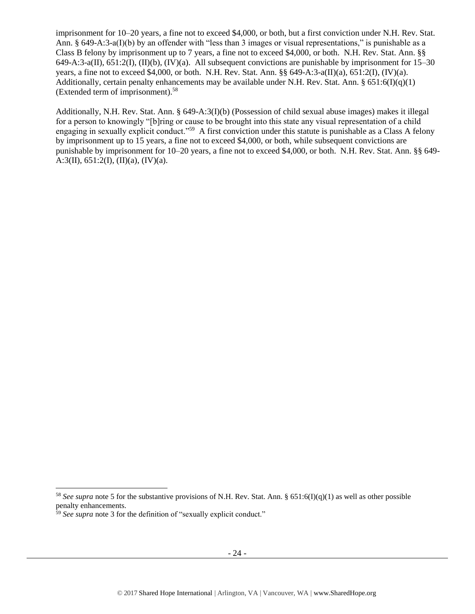imprisonment for 10–20 years, a fine not to exceed \$4,000, or both, but a first conviction under N.H. Rev. Stat. Ann. § 649-A:3-a(I)(b) by an offender with "less than 3 images or visual representations," is punishable as a Class B felony by imprisonment up to 7 years, a fine not to exceed \$4,000, or both. N.H. Rev. Stat. Ann. §§ 649-A:3-a(II),  $651:2$ (I), (II)(b), (IV)(a). All subsequent convictions are punishable by imprisonment for 15–30 years, a fine not to exceed \$4,000, or both. N.H. Rev. Stat. Ann. §§ 649-A:3-a(II)(a), 651:2(I), (IV)(a). Additionally, certain penalty enhancements may be available under N.H. Rev. Stat. Ann.  $\S 651:6(D(a)(1))$ (Extended term of imprisonment).<sup>58</sup>

Additionally, N.H. Rev. Stat. Ann. § 649-A:3(I)(b) (Possession of child sexual abuse images) makes it illegal for a person to knowingly "[b]ring or cause to be brought into this state any visual representation of a child engaging in sexually explicit conduct."<sup>59</sup> A first conviction under this statute is punishable as a Class A felony by imprisonment up to 15 years, a fine not to exceed \$4,000, or both, while subsequent convictions are punishable by imprisonment for 10–20 years, a fine not to exceed \$4,000, or both. N.H. Rev. Stat. Ann. §§ 649- A:3(II),  $651:2(I)$ ,  $(II)(a)$ ,  $(IV)(a)$ .

 $\overline{\phantom{a}}$ 

<sup>58</sup> *See supra* note [5](#page-1-0) for the substantive provisions of N.H. Rev. Stat. Ann. § 651:6(I)(q)(1) as well as other possible penalty enhancements.

<sup>59</sup> *See supra* note [3](#page-0-0) for the definition of "sexually explicit conduct."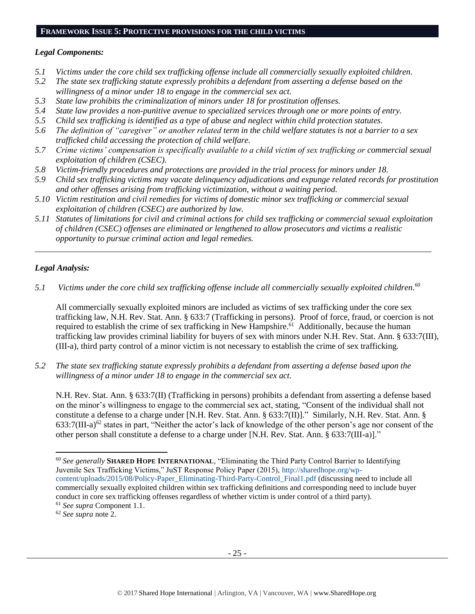### **FRAMEWORK ISSUE 5: PROTECTIVE PROVISIONS FOR THE CHILD VICTIMS**

## *Legal Components:*

- *5.1 Victims under the core child sex trafficking offense include all commercially sexually exploited children.*
- *5.2 The state sex trafficking statute expressly prohibits a defendant from asserting a defense based on the willingness of a minor under 18 to engage in the commercial sex act.*
- *5.3 State law prohibits the criminalization of minors under 18 for prostitution offenses.*
- *5.4 State law provides a non-punitive avenue to specialized services through one or more points of entry.*
- *5.5 Child sex trafficking is identified as a type of abuse and neglect within child protection statutes.*
- *5.6 The definition of "caregiver" or another related term in the child welfare statutes is not a barrier to a sex trafficked child accessing the protection of child welfare.*
- *5.7 Crime victims' compensation is specifically available to a child victim of sex trafficking or commercial sexual exploitation of children (CSEC).*
- *5.8 Victim-friendly procedures and protections are provided in the trial process for minors under 18.*
- *5.9 Child sex trafficking victims may vacate delinquency adjudications and expunge related records for prostitution and other offenses arising from trafficking victimization, without a waiting period.*
- *5.10 Victim restitution and civil remedies for victims of domestic minor sex trafficking or commercial sexual exploitation of children (CSEC) are authorized by law.*
- *5.11 Statutes of limitations for civil and criminal actions for child sex trafficking or commercial sexual exploitation of children (CSEC) offenses are eliminated or lengthened to allow prosecutors and victims a realistic opportunity to pursue criminal action and legal remedies.*

*\_\_\_\_\_\_\_\_\_\_\_\_\_\_\_\_\_\_\_\_\_\_\_\_\_\_\_\_\_\_\_\_\_\_\_\_\_\_\_\_\_\_\_\_\_\_\_\_\_\_\_\_\_\_\_\_\_\_\_\_\_\_\_\_\_\_\_\_\_\_\_\_\_\_\_\_\_\_\_\_\_\_\_\_\_\_\_\_\_\_\_\_\_*

# *Legal Analysis:*

l

*5.1 Victims under the core child sex trafficking offense include all commercially sexually exploited children. 60*

All commercially sexually exploited minors are included as victims of sex trafficking under the core sex trafficking law, N.H. Rev. Stat. Ann. § 633:7 (Trafficking in persons). Proof of force, fraud, or coercion is not required to establish the crime of sex trafficking in New Hampshire.<sup>61</sup> Additionally, because the human trafficking law provides criminal liability for buyers of sex with minors under N.H. Rev. Stat. Ann. § 633:7(III), (III-a), third party control of a minor victim is not necessary to establish the crime of sex trafficking.

*5.2 The state sex trafficking statute expressly prohibits a defendant from asserting a defense based upon the willingness of a minor under 18 to engage in the commercial sex act.* 

N.H. Rev. Stat. Ann. § 633:7(II) (Trafficking in persons) prohibits a defendant from asserting a defense based on the minor's willingness to engage to the commercial sex act, stating, "Consent of the individual shall not constitute a defense to a charge under [N.H. Rev. Stat. Ann. § 633:7(II)]." Similarly, N.H. Rev. Stat. Ann. §  $633:7(III-a)^{62}$  states in part, "Neither the actor's lack of knowledge of the other person's age nor consent of the other person shall constitute a defense to a charge under [N.H. Rev. Stat. Ann. § 633:7(III-a)]."

<sup>60</sup> *See generally* **SHARED HOPE INTERNATIONAL**, "Eliminating the Third Party Control Barrier to Identifying Juvenile Sex Trafficking Victims," JuST Response Policy Paper (2015), [http://sharedhope.org/wp](http://sharedhope.org/wp-content/uploads/2015/08/Policy-Paper_Eliminating-Third-Party-Control_Final1.pdf)[content/uploads/2015/08/Policy-Paper\\_Eliminating-Third-Party-Control\\_Final1.pdf](http://sharedhope.org/wp-content/uploads/2015/08/Policy-Paper_Eliminating-Third-Party-Control_Final1.pdf) (discussing need to include all commercially sexually exploited children within sex trafficking definitions and corresponding need to include buyer conduct in core sex trafficking offenses regardless of whether victim is under control of a third party). <sup>61</sup> *See supra* Component 1.1.

<sup>62</sup> *See supra* note [2.](#page-0-1)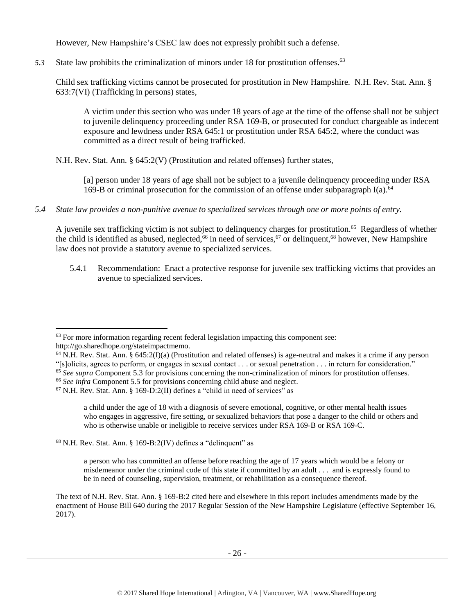However, New Hampshire's CSEC law does not expressly prohibit such a defense.

*5.3* State law prohibits the criminalization of minors under 18 for prostitution offenses. 63

Child sex trafficking victims cannot be prosecuted for prostitution in New Hampshire. N.H. Rev. Stat. Ann. § 633:7(VI) (Trafficking in persons) states,

A victim under this section who was under 18 years of age at the time of the offense shall not be subject to juvenile delinquency proceeding under RSA 169-B, or prosecuted for conduct chargeable as indecent exposure and lewdness under RSA 645:1 or prostitution under RSA 645:2, where the conduct was committed as a direct result of being trafficked.

N.H. Rev. Stat. Ann. § 645:2(V) (Prostitution and related offenses) further states,

[a] person under 18 years of age shall not be subject to a juvenile delinquency proceeding under RSA 169-B or criminal prosecution for the commission of an offense under subparagraph  $I(a)$ .<sup>64</sup>

*5.4 State law provides a non-punitive avenue to specialized services through one or more points of entry.*

A juvenile sex trafficking victim is not subject to delinquency charges for prostitution.<sup>65</sup> Regardless of whether the child is identified as abused, neglected,<sup>66</sup> in need of services,<sup>67</sup> or delinquent,<sup>68</sup> however, New Hampshire law does not provide a statutory avenue to specialized services.

5.4.1 Recommendation: Enact a protective response for juvenile sex trafficking victims that provides an avenue to specialized services.

http://go.sharedhope.org/stateimpactmemo.

- $64$  N.H. Rev. Stat. Ann. § 645:2(I)(a) (Prostitution and related offenses) is age-neutral and makes it a crime if any person
- "[s]olicits, agrees to perform, or engages in sexual contact . . . or sexual penetration . . . in return for consideration."
- <sup>65</sup> See supra Component 5.3 for provisions concerning the non-criminalization of minors for prostitution offenses.

 $68$  N.H. Rev. Stat. Ann. § 169-B:2(IV) defines a "delinquent" as

a person who has committed an offense before reaching the age of 17 years which would be a felony or misdemeanor under the criminal code of this state if committed by an adult . . . and is expressly found to be in need of counseling, supervision, treatment, or rehabilitation as a consequence thereof.

The text of N.H. Rev. Stat. Ann. § 169-B:2 cited here and elsewhere in this report includes amendments made by the enactment of House Bill 640 during the 2017 Regular Session of the New Hampshire Legislature (effective September 16, 2017).

 $\overline{\phantom{a}}$  $63$  For more information regarding recent federal legislation impacting this component see:

<sup>&</sup>lt;sup>66</sup> See infra Component 5.5 for provisions concerning child abuse and neglect.

 $67$  N.H. Rev. Stat. Ann. § 169-D:2(II) defines a "child in need of services" as

a child under the age of 18 with a diagnosis of severe emotional, cognitive, or other mental health issues who engages in aggressive, fire setting, or sexualized behaviors that pose a danger to the child or others and who is otherwise unable or ineligible to receive services under RSA 169-B or RSA 169-C.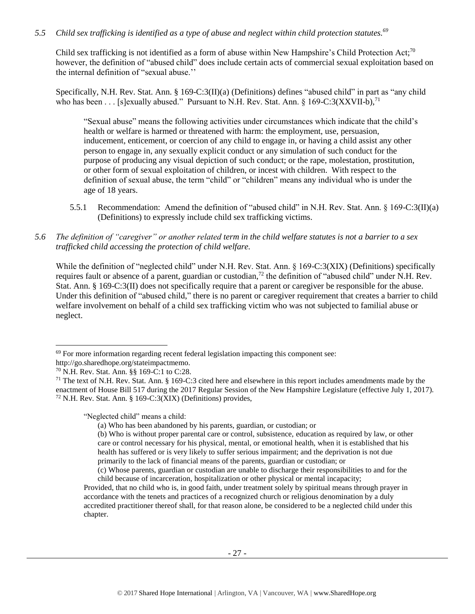# *5.5 Child sex trafficking is identified as a type of abuse and neglect within child protection statutes.<sup>69</sup>*

Child sex trafficking is not identified as a form of abuse within New Hampshire's Child Protection Act;<sup>70</sup> however, the definition of "abused child" does include certain acts of commercial sexual exploitation based on the internal definition of "sexual abuse.''

Specifically, N.H. Rev. Stat. Ann. § 169-C:3(II)(a) (Definitions) defines "abused child" in part as "any child who has been . . . [s]exually abused." Pursuant to N.H. Rev. Stat. Ann.  $\S 169-C:3(XXVII-b)$ <sup>71</sup>

"Sexual abuse" means the following activities under circumstances which indicate that the child's health or welfare is harmed or threatened with harm: the employment, use, persuasion, inducement, enticement, or coercion of any child to engage in, or having a child assist any other person to engage in, any sexually explicit conduct or any simulation of such conduct for the purpose of producing any visual depiction of such conduct; or the rape, molestation, prostitution, or other form of sexual exploitation of children, or incest with children. With respect to the definition of sexual abuse, the term "child" or "children" means any individual who is under the age of 18 years.

- 5.5.1 Recommendation: Amend the definition of "abused child" in N.H. Rev. Stat. Ann. § 169-C:3(II)(a) (Definitions) to expressly include child sex trafficking victims.
- *5.6 The definition of "caregiver" or another related term in the child welfare statutes is not a barrier to a sex trafficked child accessing the protection of child welfare.*

While the definition of "neglected child" under N.H. Rev. Stat. Ann. § 169-C:3(XIX) (Definitions) specifically requires fault or absence of a parent, guardian or custodian,<sup>72</sup> the definition of "abused child" under N.H. Rev. Stat. Ann. § 169-C:3(II) does not specifically require that a parent or caregiver be responsible for the abuse. Under this definition of "abused child," there is no parent or caregiver requirement that creates a barrier to child welfare involvement on behalf of a child sex trafficking victim who was not subjected to familial abuse or neglect.

l

"Neglected child" means a child:

 $69$  For more information regarding recent federal legislation impacting this component see:

http://go.sharedhope.org/stateimpactmemo.

<sup>70</sup> N.H. Rev. Stat. Ann. §§ 169-C:1 to C:28.

 $71$  The text of N.H. Rev. Stat. Ann. § 169-C:3 cited here and elsewhere in this report includes amendments made by the enactment of House Bill 517 during the 2017 Regular Session of the New Hampshire Legislature (effective July 1, 2017).  $72$  N.H. Rev. Stat. Ann. § 169-C:3(XIX) (Definitions) provides,

<sup>(</sup>a) Who has been abandoned by his parents, guardian, or custodian; or

<sup>(</sup>b) Who is without proper parental care or control, subsistence, education as required by law, or other care or control necessary for his physical, mental, or emotional health, when it is established that his health has suffered or is very likely to suffer serious impairment; and the deprivation is not due primarily to the lack of financial means of the parents, guardian or custodian; or

<sup>(</sup>c) Whose parents, guardian or custodian are unable to discharge their responsibilities to and for the child because of incarceration, hospitalization or other physical or mental incapacity;

Provided, that no child who is, in good faith, under treatment solely by spiritual means through prayer in accordance with the tenets and practices of a recognized church or religious denomination by a duly accredited practitioner thereof shall, for that reason alone, be considered to be a neglected child under this chapter.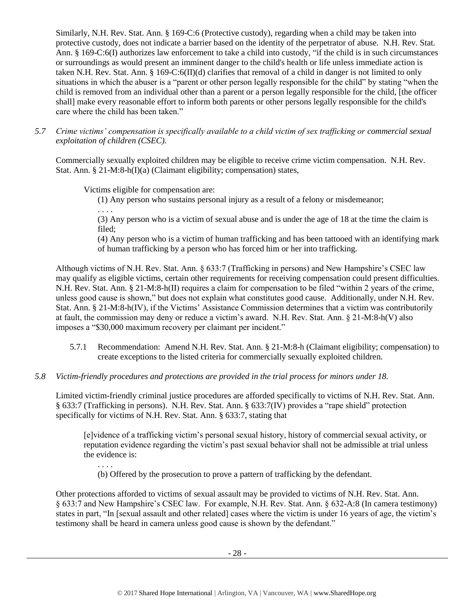Similarly, N.H. Rev. Stat. Ann. § 169-C:6 (Protective custody), regarding when a child may be taken into protective custody, does not indicate a barrier based on the identity of the perpetrator of abuse. N.H. Rev. Stat. Ann. § 169-C:6(I) authorizes law enforcement to take a child into custody, "if the child is in such circumstances or surroundings as would present an imminent danger to the child's health or life unless immediate action is taken N.H. Rev. Stat. Ann. § 169-C:6(II)(d) clarifies that removal of a child in danger is not limited to only situations in which the abuser is a "parent or other person legally responsible for the child" by stating "when the child is removed from an individual other than a parent or a person legally responsible for the child, [the officer shall] make every reasonable effort to inform both parents or other persons legally responsible for the child's care where the child has been taken."

*5.7 Crime victims' compensation is specifically available to a child victim of sex trafficking or commercial sexual exploitation of children (CSEC).*

Commercially sexually exploited children may be eligible to receive crime victim compensation. N.H. Rev. Stat. Ann. § 21-M:8-h(I)(a) (Claimant eligibility; compensation) states,

Victims eligible for compensation are:

(1) Any person who sustains personal injury as a result of a felony or misdemeanor;

. . . .

(3) Any person who is a victim of sexual abuse and is under the age of 18 at the time the claim is filed;

(4) Any person who is a victim of human trafficking and has been tattooed with an identifying mark of human trafficking by a person who has forced him or her into trafficking.

Although victims of N.H. Rev. Stat. Ann. § 633:7 (Trafficking in persons) and New Hampshire's CSEC law may qualify as eligible victims, certain other requirements for receiving compensation could present difficulties. N.H. Rev. Stat. Ann. § 21-M:8-h(II) requires a claim for compensation to be filed "within 2 years of the crime, unless good cause is shown," but does not explain what constitutes good cause. Additionally, under N.H. Rev. Stat. Ann. § 21-M:8-h(IV), if the Victims' Assistance Commission determines that a victim was contributorily at fault, the commission may deny or reduce a victim's award. N.H. Rev. Stat. Ann. § 21-M:8-h(V) also imposes a "\$30,000 maximum recovery per claimant per incident."

- 5.7.1 Recommendation: Amend N.H. Rev. Stat. Ann. § 21-M:8-h (Claimant eligibility; compensation) to create exceptions to the listed criteria for commercially sexually exploited children.
- *5.8 Victim-friendly procedures and protections are provided in the trial process for minors under 18.*

Limited victim-friendly criminal justice procedures are afforded specifically to victims of N.H. Rev. Stat. Ann. § 633:7 (Trafficking in persons). N.H. Rev. Stat. Ann. § 633:7(IV) provides a "rape shield" protection specifically for victims of N.H. Rev. Stat. Ann. § 633:7, stating that

[e]vidence of a trafficking victim's personal sexual history, history of commercial sexual activity, or reputation evidence regarding the victim's past sexual behavior shall not be admissible at trial unless the evidence is:

. . . .

(b) Offered by the prosecution to prove a pattern of trafficking by the defendant.

Other protections afforded to victims of sexual assault may be provided to victims of N.H. Rev. Stat. Ann. § 633:7 and New Hampshire's CSEC law. For example, N.H. Rev. Stat. Ann. § 632-A:8 (In camera testimony) states in part, "In [sexual assault and other related] cases where the victim is under 16 years of age, the victim's testimony shall be heard in camera unless good cause is shown by the defendant."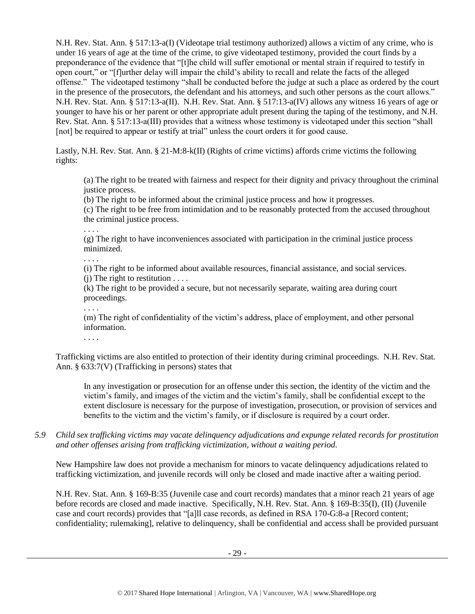N.H. Rev. Stat. Ann. § 517:13-a(I) (Videotape trial testimony authorized) allows a victim of any crime, who is under 16 years of age at the time of the crime, to give videotaped testimony, provided the court finds by a preponderance of the evidence that "[t]he child will suffer emotional or mental strain if required to testify in open court," or "[f]urther delay will impair the child's ability to recall and relate the facts of the alleged offense." The videotaped testimony "shall be conducted before the judge at such a place as ordered by the court in the presence of the prosecutors, the defendant and his attorneys, and such other persons as the court allows." N.H. Rev. Stat. Ann. § 517:13-a(II). N.H. Rev. Stat. Ann. § 517:13-a(IV) allows any witness 16 years of age or younger to have his or her parent or other appropriate adult present during the taping of the testimony, and N.H. Rev. Stat. Ann. § 517:13-a(III) provides that a witness whose testimony is videotaped under this section "shall [not] be required to appear or testify at trial" unless the court orders it for good cause.

Lastly, N.H. Rev. Stat. Ann. § 21-M:8-k(II) (Rights of crime victims) affords crime victims the following rights:

(a) The right to be treated with fairness and respect for their dignity and privacy throughout the criminal justice process.

(b) The right to be informed about the criminal justice process and how it progresses.

(c) The right to be free from intimidation and to be reasonably protected from the accused throughout the criminal justice process.

. . . .

(g) The right to have inconveniences associated with participation in the criminal justice process minimized.

. . . .

(i) The right to be informed about available resources, financial assistance, and social services.

 $(i)$  The right to restitution  $\dots$ 

(k) The right to be provided a secure, but not necessarily separate, waiting area during court proceedings.

. . . .

(m) The right of confidentiality of the victim's address, place of employment, and other personal information.

. . . .

Trafficking victims are also entitled to protection of their identity during criminal proceedings. N.H. Rev. Stat. Ann. § 633:7(V) (Trafficking in persons) states that

In any investigation or prosecution for an offense under this section, the identity of the victim and the victim's family, and images of the victim and the victim's family, shall be confidential except to the extent disclosure is necessary for the purpose of investigation, prosecution, or provision of services and benefits to the victim and the victim's family, or if disclosure is required by a court order.

*5.9 Child sex trafficking victims may vacate delinquency adjudications and expunge related records for prostitution and other offenses arising from trafficking victimization, without a waiting period.*

New Hampshire law does not provide a mechanism for minors to vacate delinquency adjudications related to trafficking victimization, and juvenile records will only be closed and made inactive after a waiting period.

N.H. Rev. Stat. Ann. § 169-B:35 (Juvenile case and court records) mandates that a minor reach 21 years of age before records are closed and made inactive. Specifically, N.H. Rev. Stat. Ann. § 169-B:35(I), (II) (Juvenile case and court records) provides that "[a]ll case records, as defined in RSA 170-G:8-a [Record content; confidentiality; rulemaking], relative to delinquency, shall be confidential and access shall be provided pursuant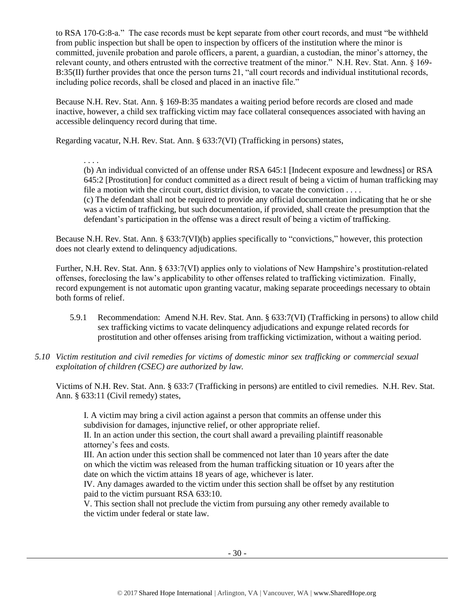to RSA 170-G:8-a." The case records must be kept separate from other court records, and must "be withheld from public inspection but shall be open to inspection by officers of the institution where the minor is committed, juvenile probation and parole officers, a parent, a guardian, a custodian, the minor's attorney, the relevant county, and others entrusted with the corrective treatment of the minor." N.H. Rev. Stat. Ann. § 169- B:35(II) further provides that once the person turns 21, "all court records and individual institutional records, including police records, shall be closed and placed in an inactive file."

Because N.H. Rev. Stat. Ann. § 169-B:35 mandates a waiting period before records are closed and made inactive, however, a child sex trafficking victim may face collateral consequences associated with having an accessible delinquency record during that time.

Regarding vacatur, N.H. Rev. Stat. Ann. § 633:7(VI) (Trafficking in persons) states,

. . . .

(b) An individual convicted of an offense under RSA 645:1 [Indecent exposure and lewdness] or RSA 645:2 [Prostitution] for conduct committed as a direct result of being a victim of human trafficking may file a motion with the circuit court, district division, to vacate the conviction . . . . (c) The defendant shall not be required to provide any official documentation indicating that he or she

was a victim of trafficking, but such documentation, if provided, shall create the presumption that the defendant's participation in the offense was a direct result of being a victim of trafficking.

Because N.H. Rev. Stat. Ann. § 633:7(VI)(b) applies specifically to "convictions," however, this protection does not clearly extend to delinquency adjudications.

Further, N.H. Rev. Stat. Ann. § 633:7(VI) applies only to violations of New Hampshire's prostitution-related offenses, foreclosing the law's applicability to other offenses related to trafficking victimization. Finally, record expungement is not automatic upon granting vacatur, making separate proceedings necessary to obtain both forms of relief.

- 5.9.1 Recommendation: Amend N.H. Rev. Stat. Ann. § 633:7(VI) (Trafficking in persons) to allow child sex trafficking victims to vacate delinquency adjudications and expunge related records for prostitution and other offenses arising from trafficking victimization, without a waiting period.
- *5.10 Victim restitution and civil remedies for victims of domestic minor sex trafficking or commercial sexual exploitation of children (CSEC) are authorized by law.*

Victims of N.H. Rev. Stat. Ann. § 633:7 (Trafficking in persons) are entitled to civil remedies. N.H. Rev. Stat. Ann. § 633:11 (Civil remedy) states,

I. A victim may bring a civil action against a person that commits an offense under this subdivision for damages, injunctive relief, or other appropriate relief.

II. In an action under this section, the court shall award a prevailing plaintiff reasonable attorney's fees and costs.

III. An action under this section shall be commenced not later than 10 years after the date on which the victim was released from the human trafficking situation or 10 years after the date on which the victim attains 18 years of age, whichever is later.

IV. Any damages awarded to the victim under this section shall be offset by any restitution paid to the victim pursuant RSA 633:10.

V. This section shall not preclude the victim from pursuing any other remedy available to the victim under federal or state law.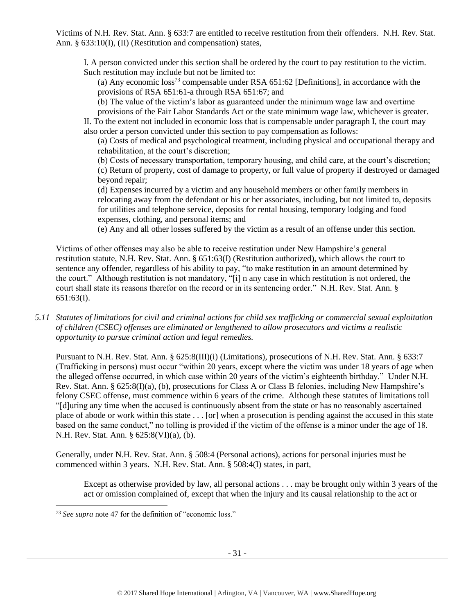Victims of N.H. Rev. Stat. Ann. § 633:7 are entitled to receive restitution from their offenders. N.H. Rev. Stat. Ann. § 633:10(I), (II) (Restitution and compensation) states,

I. A person convicted under this section shall be ordered by the court to pay restitution to the victim. Such restitution may include but not be limited to:

(a) Any economic  $\cos^{73}$  compensable under RSA 651:62 [Definitions], in accordance with the provisions of RSA 651:61-a through RSA 651:67; and

(b) The value of the victim's labor as guaranteed under the minimum wage law and overtime

provisions of the Fair Labor Standards Act or the state minimum wage law, whichever is greater. II. To the extent not included in economic loss that is compensable under paragraph I, the court may also order a person convicted under this section to pay compensation as follows:

(a) Costs of medical and psychological treatment, including physical and occupational therapy and rehabilitation, at the court's discretion;

(b) Costs of necessary transportation, temporary housing, and child care, at the court's discretion;

(c) Return of property, cost of damage to property, or full value of property if destroyed or damaged beyond repair;

(d) Expenses incurred by a victim and any household members or other family members in relocating away from the defendant or his or her associates, including, but not limited to, deposits for utilities and telephone service, deposits for rental housing, temporary lodging and food expenses, clothing, and personal items; and

(e) Any and all other losses suffered by the victim as a result of an offense under this section.

Victims of other offenses may also be able to receive restitution under New Hampshire's general restitution statute, N.H. Rev. Stat. Ann. § 651:63(I) (Restitution authorized), which allows the court to sentence any offender, regardless of his ability to pay, "to make restitution in an amount determined by the court." Although restitution is not mandatory, "[i] n any case in which restitution is not ordered, the court shall state its reasons therefor on the record or in its sentencing order." N.H. Rev. Stat. Ann. § 651:63(I).

*5.11 Statutes of limitations for civil and criminal actions for child sex trafficking or commercial sexual exploitation of children (CSEC) offenses are eliminated or lengthened to allow prosecutors and victims a realistic opportunity to pursue criminal action and legal remedies.*

Pursuant to N.H. Rev. Stat. Ann. § 625:8(III)(i) (Limitations), prosecutions of N.H. Rev. Stat. Ann. § 633:7 (Trafficking in persons) must occur "within 20 years, except where the victim was under 18 years of age when the alleged offense occurred, in which case within 20 years of the victim's eighteenth birthday." Under N.H. Rev. Stat. Ann. § 625:8(I)(a), (b), prosecutions for Class A or Class B felonies, including New Hampshire's felony CSEC offense, must commence within 6 years of the crime. Although these statutes of limitations toll "[d]uring any time when the accused is continuously absent from the state or has no reasonably ascertained place of abode or work within this state . . . [or] when a prosecution is pending against the accused in this state based on the same conduct," no tolling is provided if the victim of the offense is a minor under the age of 18. N.H. Rev. Stat. Ann. § 625:8(VI)(a), (b).

Generally, under N.H. Rev. Stat. Ann. § 508:4 (Personal actions), actions for personal injuries must be commenced within 3 years. N.H. Rev. Stat. Ann. § 508:4(I) states, in part,

Except as otherwise provided by law, all personal actions . . . may be brought only within 3 years of the act or omission complained of, except that when the injury and its causal relationship to the act or

l

<sup>&</sup>lt;sup>73</sup> See supra note [47](#page-17-0) for the definition of "economic loss."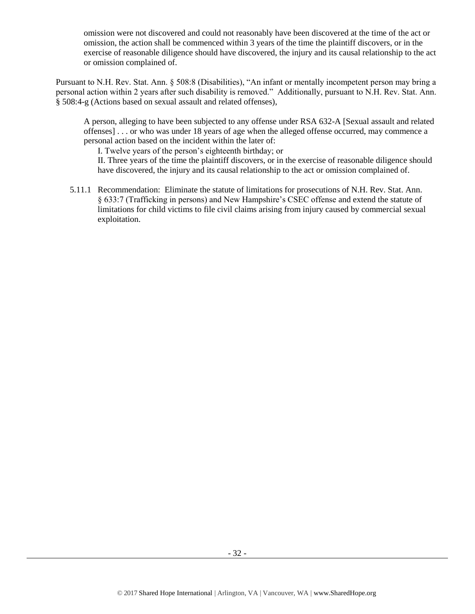omission were not discovered and could not reasonably have been discovered at the time of the act or omission, the action shall be commenced within 3 years of the time the plaintiff discovers, or in the exercise of reasonable diligence should have discovered, the injury and its causal relationship to the act or omission complained of.

Pursuant to N.H. Rev. Stat. Ann. § 508:8 (Disabilities), "An infant or mentally incompetent person may bring a personal action within 2 years after such disability is removed." Additionally, pursuant to N.H. Rev. Stat. Ann. § 508:4-g (Actions based on sexual assault and related offenses),

A person, alleging to have been subjected to any offense under RSA 632-A [Sexual assault and related offenses] . . . or who was under 18 years of age when the alleged offense occurred, may commence a personal action based on the incident within the later of:

I. Twelve years of the person's eighteenth birthday; or

II. Three years of the time the plaintiff discovers, or in the exercise of reasonable diligence should have discovered, the injury and its causal relationship to the act or omission complained of.

5.11.1 Recommendation: Eliminate the statute of limitations for prosecutions of N.H. Rev. Stat. Ann. § 633:7 (Trafficking in persons) and New Hampshire's CSEC offense and extend the statute of limitations for child victims to file civil claims arising from injury caused by commercial sexual exploitation.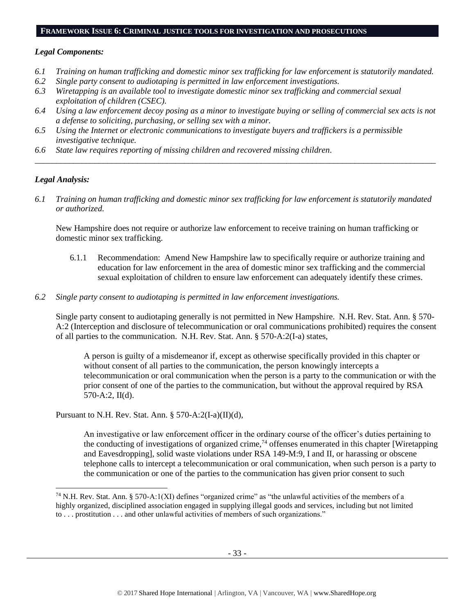#### **FRAMEWORK ISSUE 6: CRIMINAL JUSTICE TOOLS FOR INVESTIGATION AND PROSECUTIONS**

## *Legal Components:*

- *6.1 Training on human trafficking and domestic minor sex trafficking for law enforcement is statutorily mandated.*
- *6.2 Single party consent to audiotaping is permitted in law enforcement investigations.*
- *6.3 Wiretapping is an available tool to investigate domestic minor sex trafficking and commercial sexual exploitation of children (CSEC).*
- *6.4 Using a law enforcement decoy posing as a minor to investigate buying or selling of commercial sex acts is not a defense to soliciting, purchasing, or selling sex with a minor.*

*\_\_\_\_\_\_\_\_\_\_\_\_\_\_\_\_\_\_\_\_\_\_\_\_\_\_\_\_\_\_\_\_\_\_\_\_\_\_\_\_\_\_\_\_\_\_\_\_\_\_\_\_\_\_\_\_\_\_\_\_\_\_\_\_\_\_\_\_\_\_\_\_\_\_\_\_\_\_\_\_\_\_\_\_\_\_\_\_\_\_\_\_\_\_*

- *6.5 Using the Internet or electronic communications to investigate buyers and traffickers is a permissible investigative technique.*
- *6.6 State law requires reporting of missing children and recovered missing children.*

# *Legal Analysis:*

l

*6.1 Training on human trafficking and domestic minor sex trafficking for law enforcement is statutorily mandated or authorized.*

New Hampshire does not require or authorize law enforcement to receive training on human trafficking or domestic minor sex trafficking.

- 6.1.1 Recommendation: Amend New Hampshire law to specifically require or authorize training and education for law enforcement in the area of domestic minor sex trafficking and the commercial sexual exploitation of children to ensure law enforcement can adequately identify these crimes.
- *6.2 Single party consent to audiotaping is permitted in law enforcement investigations.*

Single party consent to audiotaping generally is not permitted in New Hampshire. N.H. Rev. Stat. Ann. § 570- A:2 (Interception and disclosure of telecommunication or oral communications prohibited) requires the consent of all parties to the communication. N.H. Rev. Stat. Ann. § 570-A:2(I-a) states,

A person is guilty of a misdemeanor if, except as otherwise specifically provided in this chapter or without consent of all parties to the communication, the person knowingly intercepts a telecommunication or oral communication when the person is a party to the communication or with the prior consent of one of the parties to the communication, but without the approval required by RSA 570-A:2, II(d).

Pursuant to N.H. Rev. Stat. Ann. § 570-A:2(I-a)(II)(d),

<span id="page-32-0"></span>An investigative or law enforcement officer in the ordinary course of the officer's duties pertaining to the conducting of investigations of organized crime,<sup>74</sup> offenses enumerated in this chapter [Wiretapping and Eavesdropping], solid waste violations under RSA 149-M:9, I and II, or harassing or obscene telephone calls to intercept a telecommunication or oral communication, when such person is a party to the communication or one of the parties to the communication has given prior consent to such

<sup>74</sup> N.H. Rev. Stat. Ann. § 570-A:1(XI) defines "organized crime" as "the unlawful activities of the members of a highly organized, disciplined association engaged in supplying illegal goods and services, including but not limited to . . . prostitution . . . and other unlawful activities of members of such organizations."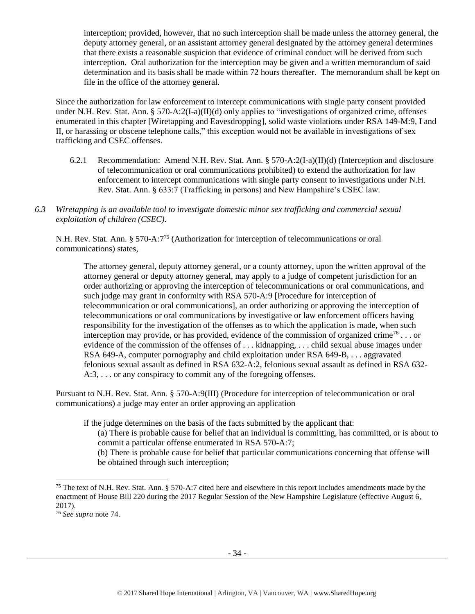interception; provided, however, that no such interception shall be made unless the attorney general, the deputy attorney general, or an assistant attorney general designated by the attorney general determines that there exists a reasonable suspicion that evidence of criminal conduct will be derived from such interception. Oral authorization for the interception may be given and a written memorandum of said determination and its basis shall be made within 72 hours thereafter. The memorandum shall be kept on file in the office of the attorney general.

Since the authorization for law enforcement to intercept communications with single party consent provided under N.H. Rev. Stat. Ann. § 570-A:2(I-a)(II)(d) only applies to "investigations of organized crime, offenses enumerated in this chapter [Wiretapping and Eavesdropping], solid waste violations under RSA 149-M:9, I and II, or harassing or obscene telephone calls," this exception would not be available in investigations of sex trafficking and CSEC offenses.

- 6.2.1 Recommendation: Amend N.H. Rev. Stat. Ann.  $\S 570-A:2(I-a)(II)(d)$  (Interception and disclosure of telecommunication or oral communications prohibited) to extend the authorization for law enforcement to intercept communications with single party consent to investigations under N.H. Rev. Stat. Ann. § 633:7 (Trafficking in persons) and New Hampshire's CSEC law.
- *6.3 Wiretapping is an available tool to investigate domestic minor sex trafficking and commercial sexual exploitation of children (CSEC).*

N.H. Rev. Stat. Ann. § 570-A:7<sup>75</sup> (Authorization for interception of telecommunications or oral communications) states,

The attorney general, deputy attorney general, or a county attorney, upon the written approval of the attorney general or deputy attorney general, may apply to a judge of competent jurisdiction for an order authorizing or approving the interception of telecommunications or oral communications, and such judge may grant in conformity with RSA 570-A:9 [Procedure for interception of telecommunication or oral communications], an order authorizing or approving the interception of telecommunications or oral communications by investigative or law enforcement officers having responsibility for the investigation of the offenses as to which the application is made, when such interception may provide, or has provided, evidence of the commission of organized crime<sup>76</sup>... or evidence of the commission of the offenses of . . . kidnapping, . . . child sexual abuse images under RSA 649-A, computer pornography and child exploitation under RSA 649-B, . . . aggravated felonious sexual assault as defined in RSA 632-A:2, felonious sexual assault as defined in RSA 632- A:3, . . . or any conspiracy to commit any of the foregoing offenses.

Pursuant to N.H. Rev. Stat. Ann. § 570-A:9(III) (Procedure for interception of telecommunication or oral communications) a judge may enter an order approving an application

if the judge determines on the basis of the facts submitted by the applicant that:

(a) There is probable cause for belief that an individual is committing, has committed, or is about to commit a particular offense enumerated in RSA 570-A:7;

(b) There is probable cause for belief that particular communications concerning that offense will be obtained through such interception;

l

<sup>&</sup>lt;sup>75</sup> The text of N.H. Rev. Stat. Ann. § 570-A:7 cited here and elsewhere in this report includes amendments made by the enactment of House Bill 220 during the 2017 Regular Session of the New Hampshire Legislature (effective August 6, 2017).

<sup>76</sup> *See supra* note [74.](#page-32-0)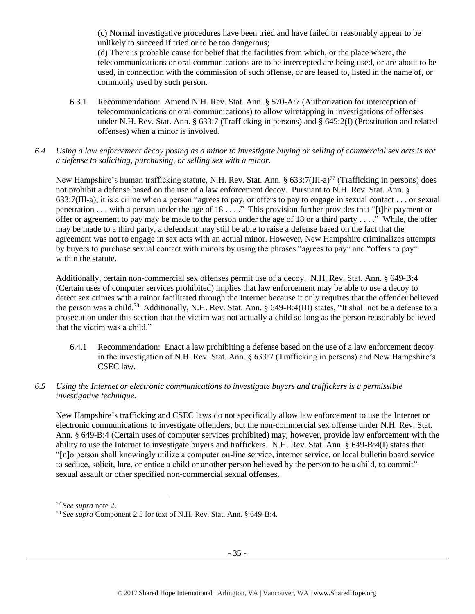(c) Normal investigative procedures have been tried and have failed or reasonably appear to be unlikely to succeed if tried or to be too dangerous;

(d) There is probable cause for belief that the facilities from which, or the place where, the telecommunications or oral communications are to be intercepted are being used, or are about to be used, in connection with the commission of such offense, or are leased to, listed in the name of, or commonly used by such person.

- 6.3.1 Recommendation: Amend N.H. Rev. Stat. Ann. § 570-A:7 (Authorization for interception of telecommunications or oral communications) to allow wiretapping in investigations of offenses under N.H. Rev. Stat. Ann. § 633:7 (Trafficking in persons) and § 645:2(I) (Prostitution and related offenses) when a minor is involved.
- *6.4 Using a law enforcement decoy posing as a minor to investigate buying or selling of commercial sex acts is not a defense to soliciting, purchasing, or selling sex with a minor.*

New Hampshire's human trafficking statute, N.H. Rev. Stat. Ann. § 633:7(III-a)<sup>77</sup> (Trafficking in persons) does not prohibit a defense based on the use of a law enforcement decoy. Pursuant to N.H. Rev. Stat. Ann. § 633:7(III-a), it is a crime when a person "agrees to pay, or offers to pay to engage in sexual contact . . . or sexual penetration . . . with a person under the age of 18 . . . ." This provision further provides that "[t]he payment or offer or agreement to pay may be made to the person under the age of 18 or a third party . . . ." While, the offer may be made to a third party, a defendant may still be able to raise a defense based on the fact that the agreement was not to engage in sex acts with an actual minor. However, New Hampshire criminalizes attempts by buyers to purchase sexual contact with minors by using the phrases "agrees to pay" and "offers to pay" within the statute.

Additionally, certain non-commercial sex offenses permit use of a decoy. N.H. Rev. Stat. Ann. § 649-B:4 (Certain uses of computer services prohibited) implies that law enforcement may be able to use a decoy to detect sex crimes with a minor facilitated through the Internet because it only requires that the offender believed the person was a child.<sup>78</sup> Additionally, N.H. Rev. Stat. Ann. § 649-B:4(III) states, "It shall not be a defense to a prosecution under this section that the victim was not actually a child so long as the person reasonably believed that the victim was a child."

- 6.4.1 Recommendation: Enact a law prohibiting a defense based on the use of a law enforcement decoy in the investigation of N.H. Rev. Stat. Ann. § 633:7 (Trafficking in persons) and New Hampshire's CSEC law.
- *6.5 Using the Internet or electronic communications to investigate buyers and traffickers is a permissible investigative technique.*

New Hampshire's trafficking and CSEC laws do not specifically allow law enforcement to use the Internet or electronic communications to investigate offenders, but the non-commercial sex offense under N.H. Rev. Stat. Ann. § 649-B:4 (Certain uses of computer services prohibited) may, however, provide law enforcement with the ability to use the Internet to investigate buyers and traffickers. N.H. Rev. Stat. Ann. § 649-B:4(I) states that "[n]o person shall knowingly utilize a computer on-line service, internet service, or local bulletin board service to seduce, solicit, lure, or entice a child or another person believed by the person to be a child, to commit" sexual assault or other specified non-commercial sexual offenses.

l

<sup>77</sup> *See supra* note [2.](#page-0-1)

<sup>78</sup> *See supra* Component 2.5 for text of N.H. Rev. Stat. Ann. § 649-B:4.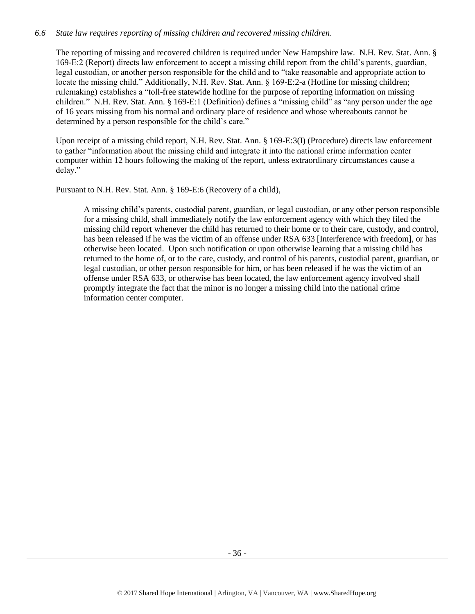# *6.6 State law requires reporting of missing children and recovered missing children.*

The reporting of missing and recovered children is required under New Hampshire law. N.H. Rev. Stat. Ann. § 169-E:2 (Report) directs law enforcement to accept a missing child report from the child's parents, guardian, legal custodian, or another person responsible for the child and to "take reasonable and appropriate action to locate the missing child." Additionally, N.H. Rev. Stat. Ann. § 169-E:2-a (Hotline for missing children; rulemaking) establishes a "toll-free statewide hotline for the purpose of reporting information on missing children." N.H. Rev. Stat. Ann. § 169-E:1 (Definition) defines a "missing child" as "any person under the age of 16 years missing from his normal and ordinary place of residence and whose whereabouts cannot be determined by a person responsible for the child's care."

Upon receipt of a missing child report, N.H. Rev. Stat. Ann. § 169-E:3(I) (Procedure) directs law enforcement to gather "information about the missing child and integrate it into the national crime information center computer within 12 hours following the making of the report, unless extraordinary circumstances cause a delay."

Pursuant to N.H. Rev. Stat. Ann. § 169-E:6 (Recovery of a child),

A missing child's parents, custodial parent, guardian, or legal custodian, or any other person responsible for a missing child, shall immediately notify the law enforcement agency with which they filed the missing child report whenever the child has returned to their home or to their care, custody, and control, has been released if he was the victim of an offense under RSA 633 [Interference with freedom], or has otherwise been located. Upon such notification or upon otherwise learning that a missing child has returned to the home of, or to the care, custody, and control of his parents, custodial parent, guardian, or legal custodian, or other person responsible for him, or has been released if he was the victim of an offense under RSA 633, or otherwise has been located, the law enforcement agency involved shall promptly integrate the fact that the minor is no longer a missing child into the national crime information center computer.